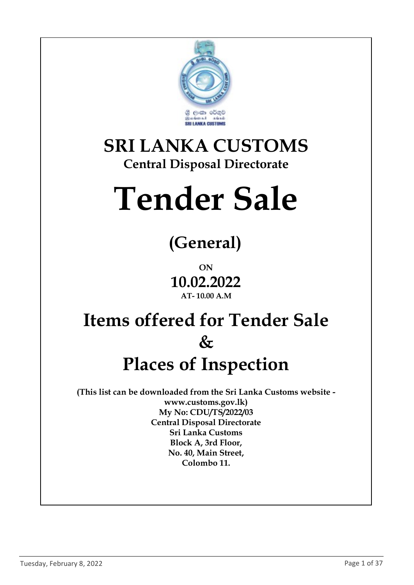

#### SRI LANKA CUSTOMS Central Disposal Directorate

# Tender Sale

## (General)

ON 10.02.2022 AT- 10.00 A.M

## Items offered for Tender Sale  $\&$ Places of Inspection

(This list can be downloaded from the Sri Lanka Customs website www.customs.gov.lk) My No: CDU/TS/2022/03 Central Disposal Directorate Sri Lanka Customs Block A, 3rd Floor, No. 40, Main Street, Colombo 11.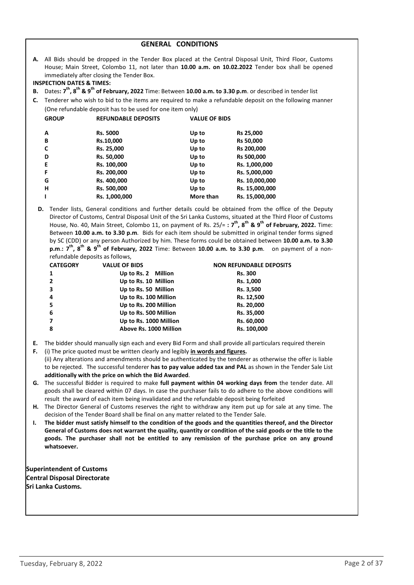| <b>INSPECTION DATES &amp; TIMES:</b>                      | immediately after closing the Tender Box.<br>B. Dates: $7^{th}$ , $8^{th}$ & $9^{th}$ of February, 2022 Time: Between 10.00 a.m. to 3.30 p.m. or described in tender list |                      | A. All Bids should be dropped in the Tender Box placed at the Central Disposal Unit, Third Floor, Customs<br>House; Main Street, Colombo 11, not later than 10.00 a.m. on 10.02.2022 Tender box shall be opened |
|-----------------------------------------------------------|---------------------------------------------------------------------------------------------------------------------------------------------------------------------------|----------------------|-----------------------------------------------------------------------------------------------------------------------------------------------------------------------------------------------------------------|
|                                                           |                                                                                                                                                                           |                      | C. Tenderer who wish to bid to the items are required to make a refundable deposit on the following manner                                                                                                      |
| (One refundable deposit has to be used for one item only) |                                                                                                                                                                           |                      |                                                                                                                                                                                                                 |
| <b>GROUP</b>                                              | <b>REFUNDABLE DEPOSITS</b>                                                                                                                                                | <b>VALUE OF BIDS</b> |                                                                                                                                                                                                                 |
| A                                                         | <b>Rs. 5000</b>                                                                                                                                                           | Up to                | <b>Rs 25,000</b>                                                                                                                                                                                                |
| B                                                         | Rs.10,000                                                                                                                                                                 | Up to                | <b>Rs 50,000</b>                                                                                                                                                                                                |
| C                                                         | Rs. 25,000                                                                                                                                                                | Up to                | Rs 200,000                                                                                                                                                                                                      |
| D                                                         | Rs. 50,000                                                                                                                                                                | Up to                | <b>Rs 500,000</b>                                                                                                                                                                                               |
| E                                                         | Rs. 100,000                                                                                                                                                               | Up to                | Rs. 1,000,000                                                                                                                                                                                                   |
| F                                                         | Rs. 200,000                                                                                                                                                               | Up to                | Rs. 5,000,000                                                                                                                                                                                                   |
| G                                                         | Rs. 400,000                                                                                                                                                               | Up to                | Rs. 10,000,000                                                                                                                                                                                                  |
| н                                                         | Rs. 500,000                                                                                                                                                               | Up to                | Rs. 15,000,000                                                                                                                                                                                                  |
|                                                           | Rs. 1,000,000                                                                                                                                                             | More than            | Rs. 15,000,000                                                                                                                                                                                                  |

GENERAL CONDITIONS

D. Tender lists, General conditions and further details could be obtained from the office of the Deputy Director of Customs, Central Disposal Unit of the Sri Lanka Customs, situated at the Third Floor of Customs House, No. 40, Main Street, Colombo 11, on payment of Rs. 25/=:  $7^{th}$ ,  $8^{th}$  &  $9^{th}$  of February, 2022. Time: Between 10.00 a.m. to 3.30 p.m. Bids for each item should be submitted in original tender forms signed by SC (CDD) or any person Authorized by him. These forms could be obtained between 10.00 a.m. to 3.30 p.m.:  $7<sup>th</sup>$ ,  $8<sup>th</sup>$  &  $9<sup>th</sup>$  of February, 2022 Time: Between 10.00 a.m. to 3.30 p.m. on payment of a nonrefundable deposits as follows,

| <b>CATEGORY</b> | <b>VALUE OF BIDS</b>   | <b>NON REFUNDABLE DEPOSITS</b> |  |
|-----------------|------------------------|--------------------------------|--|
|                 | Up to Rs. 2 Million    | <b>Rs. 300</b>                 |  |
| $\overline{2}$  | Up to Rs. 10 Million   | Rs. 1,000                      |  |
|                 | Up to Rs. 50 Million   | Rs. 3,500                      |  |
| 4               | Up to Rs. 100 Million  | Rs. 12,500                     |  |
| 5               | Up to Rs. 200 Million  | Rs. 20,000                     |  |
| 6               | Up to Rs. 500 Million  | Rs. 35,000                     |  |
|                 | Up to Rs. 1000 Million | Rs. 60,000                     |  |
| 8               | Above Rs. 1000 Million | Rs. 100,000                    |  |

- E. The bidder should manually sign each and every Bid Form and shall provide all particulars required therein
- F. (i) The price quoted must be written clearly and legibly *in words and figures*.<br>(ii) Any alterations and amendments should be authenticated by the tenderer as otherwise the offer is liable to be rejected. The successful tenderer has to pay value added tax and PAL as shown in the Tender Sale List additionally with the price on which the Bid Awarded.
- G. The successful Bidder is required to make full payment within 04 working days from the tender date. All goods shall be cleared within 07 days. In case the purchaser fails to do adhere to the above conditions will result the award of each item being invalidated and the refundable deposit being forfeited
- H. The Director General of Customs reserves the right to withdraw any item put up for sale at any time. The decision of the Tender Board shall be final on any matter related to the Tender Sale.
- I. The bidder must satisfy himself to the condition of the goods and the quantities thereof, and the Director General of Customs does not warrant the quality, quantity or condition of the said goods or the title to the goods. The purchaser shall not be entitled to any remission of the purchase price on any ground whatsoever.

Superintendent of Customs Central Disposal Directorate Sri Lanka Customs.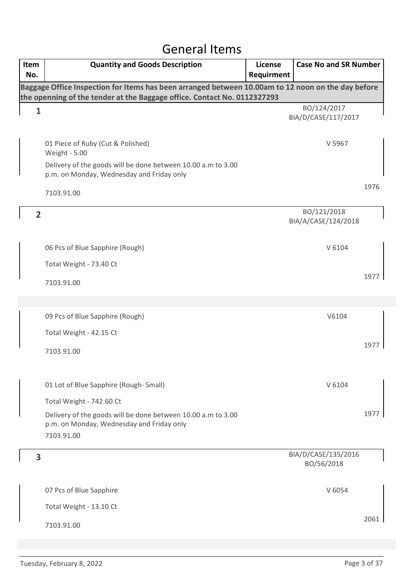#### General Items

| Item<br>No.    | <b>Quantity and Goods Description</b>                                                                                                                                          | <b>License</b><br>Requirment | <b>Case No and SR Number</b>       |      |
|----------------|--------------------------------------------------------------------------------------------------------------------------------------------------------------------------------|------------------------------|------------------------------------|------|
|                | Baggage Office Inspection for Items has been arranged between 10.00am to 12 noon on the day before<br>the openning of the tender at the Baggage office. Contact No. 0112327293 |                              |                                    |      |
| $\mathbf{1}$   |                                                                                                                                                                                |                              | BO/124/2017<br>BIA/D/CASE/117/2017 |      |
|                | 01 Piece of Ruby (Cut & Polished)<br><b>Weight - 5.00</b>                                                                                                                      |                              | V 5967                             |      |
|                | Delivery of the goods will be done between 10.00 a.m to 3.00<br>p.m. on Monday, Wednesday and Friday only                                                                      |                              |                                    |      |
|                | 7103.91.00                                                                                                                                                                     |                              |                                    | 1976 |
| $\overline{2}$ |                                                                                                                                                                                |                              | BO/121/2018<br>BIA/A/CASE/124/2018 |      |
|                | 06 Pcs of Blue Sapphire (Rough)                                                                                                                                                |                              | V 6104                             |      |
|                | Total Weight - 73.40 Ct                                                                                                                                                        |                              |                                    |      |
|                | 7103.91.00                                                                                                                                                                     |                              |                                    | 1977 |
|                |                                                                                                                                                                                |                              |                                    |      |
|                | 09 Pcs of Blue Sapphire (Rough)                                                                                                                                                |                              | V6104                              |      |
|                | Total Weight - 42.15 Ct                                                                                                                                                        |                              |                                    |      |
|                | 7103.91.00                                                                                                                                                                     |                              |                                    | 1977 |
|                | 01 Lot of Blue Sapphire (Rough-Small)                                                                                                                                          |                              | V 6104                             |      |
|                | Total Weight - 742.60 Ct                                                                                                                                                       |                              |                                    |      |
|                | Delivery of the goods will be done between 10.00 a.m to 3.00<br>p.m. on Monday, Wednesday and Friday only<br>7103.91.00                                                        |                              |                                    | 1977 |
| 3              |                                                                                                                                                                                |                              | BIA/D/CASE/135/2016<br>BO/56/2018  |      |
|                | 07 Pcs of Blue Sapphire                                                                                                                                                        |                              | V 6054                             |      |
|                | Total Weight - 13.10 Ct                                                                                                                                                        |                              |                                    |      |
|                | 7103.91.00                                                                                                                                                                     |                              |                                    | 2061 |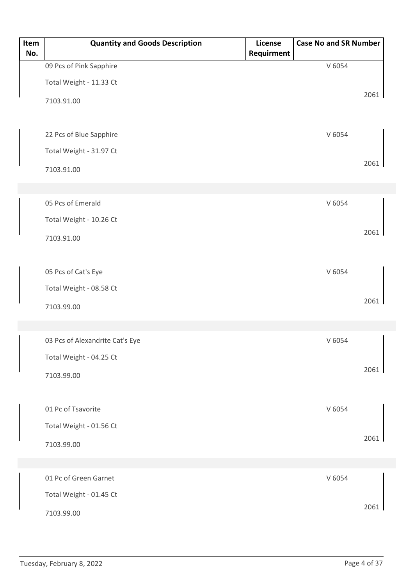| Item<br>No. | <b>Quantity and Goods Description</b> | License<br>Requirment | <b>Case No and SR Number</b> |      |
|-------------|---------------------------------------|-----------------------|------------------------------|------|
|             | 09 Pcs of Pink Sapphire               |                       | V 6054                       |      |
|             | Total Weight - 11.33 Ct               |                       |                              |      |
|             | 7103.91.00                            |                       |                              | 2061 |
|             | 22 Pcs of Blue Sapphire               |                       | V 6054                       |      |
|             | Total Weight - 31.97 Ct               |                       |                              |      |
|             | 7103.91.00                            |                       |                              | 2061 |
|             |                                       |                       |                              |      |
|             | 05 Pcs of Emerald                     |                       | V 6054                       |      |
|             | Total Weight - 10.26 Ct               |                       |                              |      |
|             | 7103.91.00                            |                       |                              | 2061 |
|             |                                       |                       |                              |      |
|             | 05 Pcs of Cat's Eye                   |                       | V 6054                       |      |
|             | Total Weight - 08.58 Ct               |                       |                              |      |
|             | 7103.99.00                            |                       |                              | 2061 |
|             |                                       |                       |                              |      |
|             | 03 Pcs of Alexandrite Cat's Eye       |                       | V 6054                       |      |
|             | Total Weight - 04.25 Ct               |                       |                              |      |
|             | 7103.99.00                            |                       |                              | 2061 |
|             |                                       |                       |                              |      |
|             | 01 Pc of Tsavorite                    |                       | V 6054                       |      |
|             | Total Weight - 01.56 Ct               |                       |                              |      |
|             | 7103.99.00                            |                       |                              | 2061 |
|             |                                       |                       |                              |      |
|             | 01 Pc of Green Garnet                 |                       | V 6054                       |      |
|             | Total Weight - 01.45 Ct               |                       |                              |      |
|             | 7103.99.00                            |                       |                              | 2061 |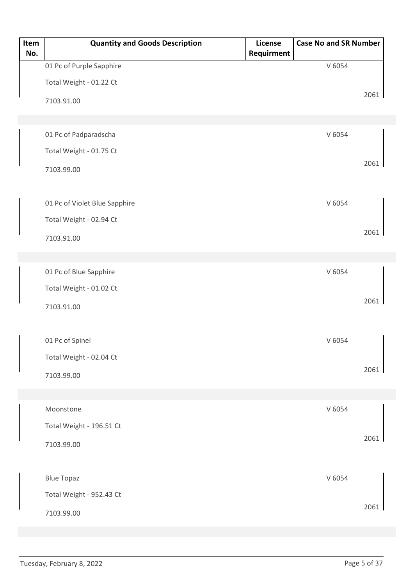| Item<br>No. | <b>Quantity and Goods Description</b> | License<br>Requirment | <b>Case No and SR Number</b> |      |
|-------------|---------------------------------------|-----------------------|------------------------------|------|
|             | 01 Pc of Purple Sapphire              |                       | V 6054                       |      |
|             | Total Weight - 01.22 Ct               |                       |                              |      |
|             | 7103.91.00                            |                       |                              | 2061 |
|             |                                       |                       |                              |      |
|             | 01 Pc of Padparadscha                 |                       | V 6054                       |      |
|             | Total Weight - 01.75 Ct               |                       |                              |      |
|             | 7103.99.00                            |                       |                              | 2061 |
|             |                                       |                       |                              |      |
|             | 01 Pc of Violet Blue Sapphire         |                       | V 6054                       |      |
|             | Total Weight - 02.94 Ct               |                       |                              |      |
|             | 7103.91.00                            |                       |                              | 2061 |
|             |                                       |                       |                              |      |
|             | 01 Pc of Blue Sapphire                |                       | V 6054                       |      |
|             | Total Weight - 01.02 Ct               |                       |                              |      |
|             | 7103.91.00                            |                       |                              | 2061 |
|             |                                       |                       |                              |      |
|             | 01 Pc of Spinel                       |                       | V 6054                       |      |
|             | Total Weight - 02.04 Ct               |                       |                              |      |
|             | 7103.99.00                            |                       |                              | 2061 |
|             |                                       |                       |                              |      |
|             | Moonstone                             |                       | V 6054                       |      |
|             | Total Weight - 196.51 Ct              |                       |                              |      |
|             | 7103.99.00                            |                       |                              | 2061 |
|             |                                       |                       |                              |      |
|             | <b>Blue Topaz</b>                     |                       | V 6054                       |      |
|             | Total Weight - 952.43 Ct              |                       |                              |      |
|             | 7103.99.00                            |                       |                              | 2061 |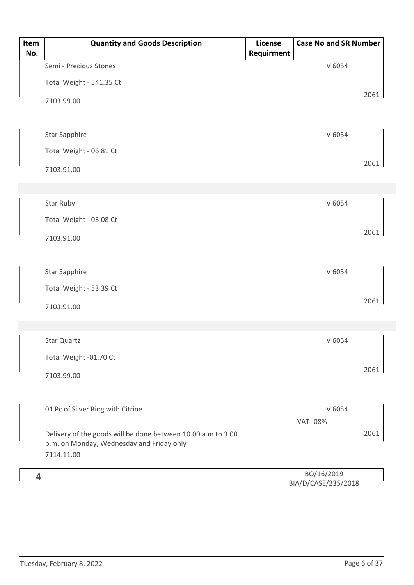| Item<br>No. | <b>Quantity and Goods Description</b>                        | License<br>Requirment | <b>Case No and SR Number</b> |      |
|-------------|--------------------------------------------------------------|-----------------------|------------------------------|------|
|             | Semi - Precious Stones                                       |                       | V 6054                       |      |
|             | Total Weight - 541.35 Ct                                     |                       |                              |      |
|             |                                                              |                       |                              | 2061 |
|             | 7103.99.00                                                   |                       |                              |      |
|             |                                                              |                       |                              |      |
|             | <b>Star Sapphire</b>                                         |                       | V 6054                       |      |
|             | Total Weight - 06.81 Ct                                      |                       |                              |      |
|             | 7103.91.00                                                   |                       |                              | 2061 |
|             |                                                              |                       |                              |      |
|             | Star Ruby                                                    |                       | V 6054                       |      |
|             | Total Weight - 03.08 Ct                                      |                       |                              |      |
|             |                                                              |                       |                              | 2061 |
|             | 7103.91.00                                                   |                       |                              |      |
|             |                                                              |                       |                              |      |
|             | <b>Star Sapphire</b>                                         |                       | V 6054                       |      |
|             | Total Weight - 53.39 Ct                                      |                       |                              |      |
|             | 7103.91.00                                                   |                       |                              | 2061 |
|             |                                                              |                       |                              |      |
|             | Star Quartz                                                  |                       | V 6054                       |      |
|             | Total Weight -01.70 Ct                                       |                       |                              |      |
|             |                                                              |                       |                              | 2061 |
|             | 7103.99.00                                                   |                       |                              |      |
|             |                                                              |                       |                              |      |
|             | 01 Pc of Silver Ring with Citrine                            |                       | V 6054<br><b>VAT 08%</b>     |      |
|             | Delivery of the goods will be done between 10.00 a.m to 3.00 |                       |                              | 2061 |
|             | p.m. on Monday, Wednesday and Friday only                    |                       |                              |      |
|             | 7114.11.00                                                   |                       |                              |      |
| 4           |                                                              |                       | BO/16/2019                   |      |

BIA/D/CASE/235/2018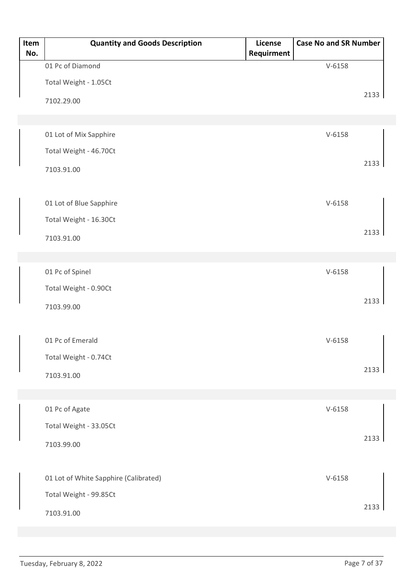| Item<br>No. | <b>Quantity and Goods Description</b> | License<br>Requirment | <b>Case No and SR Number</b> |      |
|-------------|---------------------------------------|-----------------------|------------------------------|------|
|             | 01 Pc of Diamond                      |                       | $V-6158$                     |      |
|             | Total Weight - 1.05Ct                 |                       |                              |      |
|             | 7102.29.00                            |                       |                              | 2133 |
|             |                                       |                       |                              |      |
|             | 01 Lot of Mix Sapphire                |                       | $V - 6158$                   |      |
|             | Total Weight - 46.70Ct                |                       |                              |      |
|             | 7103.91.00                            |                       |                              | 2133 |
|             |                                       |                       |                              |      |
|             | 01 Lot of Blue Sapphire               |                       | $V-6158$                     |      |
|             | Total Weight - 16.30Ct                |                       |                              |      |
|             | 7103.91.00                            |                       |                              | 2133 |
|             |                                       |                       |                              |      |
|             | 01 Pc of Spinel                       |                       | $V-6158$                     |      |
|             | Total Weight - 0.90Ct                 |                       |                              |      |
|             | 7103.99.00                            |                       |                              | 2133 |
|             |                                       |                       |                              |      |
|             | 01 Pc of Emerald                      |                       | $V-6158$                     |      |
|             | Total Weight - 0.74Ct                 |                       |                              | 2133 |
|             | 7103.91.00                            |                       |                              |      |
|             |                                       |                       |                              |      |
|             | 01 Pc of Agate                        |                       | $V-6158$                     |      |
|             | Total Weight - 33.05Ct                |                       |                              | 2133 |
|             | 7103.99.00                            |                       |                              |      |
|             | 01 Lot of White Sapphire (Calibrated) |                       | $V-6158$                     |      |
|             | Total Weight - 99.85Ct                |                       |                              |      |
|             | 7103.91.00                            |                       |                              | 2133 |
|             |                                       |                       |                              |      |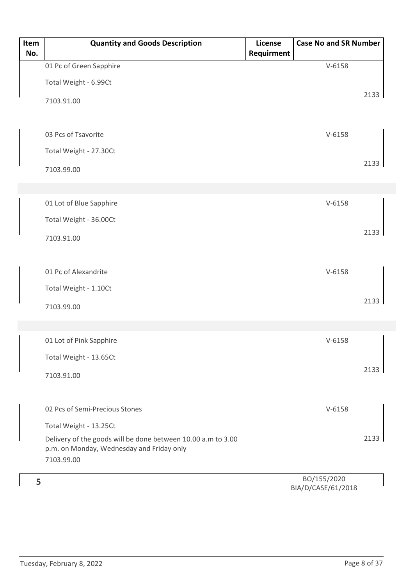| Item<br>No. | <b>Quantity and Goods Description</b>                                                                                   | License<br>Requirment | <b>Case No and SR Number</b> |      |
|-------------|-------------------------------------------------------------------------------------------------------------------------|-----------------------|------------------------------|------|
|             | 01 Pc of Green Sapphire                                                                                                 |                       | $V-6158$                     |      |
|             | Total Weight - 6.99Ct                                                                                                   |                       |                              |      |
|             | 7103.91.00                                                                                                              |                       |                              | 2133 |
|             | 03 Pcs of Tsavorite                                                                                                     |                       | $V-6158$                     |      |
|             | Total Weight - 27.30Ct                                                                                                  |                       |                              |      |
|             | 7103.99.00                                                                                                              |                       |                              | 2133 |
|             | 01 Lot of Blue Sapphire                                                                                                 |                       | $V-6158$                     |      |
|             |                                                                                                                         |                       |                              |      |
|             | Total Weight - 36.00Ct                                                                                                  |                       |                              | 2133 |
|             | 7103.91.00                                                                                                              |                       |                              |      |
|             | 01 Pc of Alexandrite                                                                                                    |                       | $V-6158$                     |      |
|             | Total Weight - 1.10Ct                                                                                                   |                       |                              |      |
|             | 7103.99.00                                                                                                              |                       |                              | 2133 |
|             |                                                                                                                         |                       |                              |      |
|             | 01 Lot of Pink Sapphire                                                                                                 |                       | $V-6158$                     |      |
|             | Total Weight - 13.65Ct                                                                                                  |                       |                              |      |
|             | 7103.91.00                                                                                                              |                       |                              | 2133 |
|             | 02 Pcs of Semi-Precious Stones                                                                                          |                       | $V-6158$                     |      |
|             | Total Weight - 13.25Ct                                                                                                  |                       |                              |      |
|             | Delivery of the goods will be done between 10.00 a.m to 3.00<br>p.m. on Monday, Wednesday and Friday only<br>7103.99.00 |                       |                              | 2133 |
| 5           |                                                                                                                         |                       | BO/155/2020                  |      |
|             |                                                                                                                         |                       |                              |      |

BIA/D/CASE/61/2018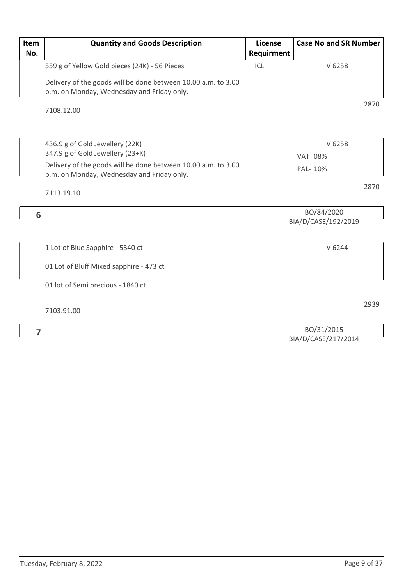| Item | <b>Quantity and Goods Description</b>                                                                       | License    | <b>Case No and SR Number</b> |      |
|------|-------------------------------------------------------------------------------------------------------------|------------|------------------------------|------|
| No.  |                                                                                                             | Requirment |                              |      |
|      | 559 g of Yellow Gold pieces (24K) - 56 Pieces                                                               | ICL        | V 6258                       |      |
|      | Delivery of the goods will be done between 10.00 a.m. to 3.00                                               |            |                              |      |
|      | p.m. on Monday, Wednesday and Friday only.                                                                  |            |                              |      |
|      |                                                                                                             |            |                              | 2870 |
|      | 7108.12.00                                                                                                  |            |                              |      |
|      |                                                                                                             |            |                              |      |
|      | 436.9 g of Gold Jewellery (22K)<br>347.9 g of Gold Jewellery (23+K)                                         |            | V 6258                       |      |
|      |                                                                                                             |            | <b>VAT 08%</b>               |      |
|      | Delivery of the goods will be done between 10.00 a.m. to 3.00<br>p.m. on Monday, Wednesday and Friday only. |            | PAL-10%                      |      |
|      |                                                                                                             |            |                              | 2870 |
|      | 7113.19.10                                                                                                  |            |                              |      |
| 6    |                                                                                                             |            | BO/84/2020                   |      |
|      |                                                                                                             |            | BIA/D/CASE/192/2019          |      |
|      |                                                                                                             |            |                              |      |
|      | 1 Lot of Blue Sapphire - 5340 ct                                                                            |            | V 6244                       |      |
|      | 01 Lot of Bluff Mixed sapphire - 473 ct                                                                     |            |                              |      |
|      | 01 lot of Semi precious - 1840 ct                                                                           |            |                              |      |
|      |                                                                                                             |            |                              | 2939 |
|      | 7103.91.00                                                                                                  |            |                              |      |
| 7    |                                                                                                             |            | BO/31/2015                   |      |
|      |                                                                                                             |            |                              |      |

BO/31/2015 BIA/D/CASE/217/2014  $\overline{\phantom{a}}$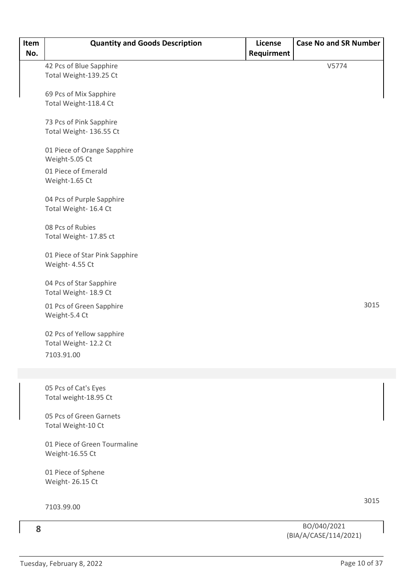| Item<br>No. | <b>Quantity and Goods Description</b>              | License<br>Requirment | <b>Case No and SR Number</b>         |      |
|-------------|----------------------------------------------------|-----------------------|--------------------------------------|------|
|             | 42 Pcs of Blue Sapphire                            |                       | V5774                                |      |
|             | Total Weight-139.25 Ct                             |                       |                                      |      |
|             | 69 Pcs of Mix Sapphire                             |                       |                                      |      |
|             | Total Weight-118.4 Ct                              |                       |                                      |      |
|             | 73 Pcs of Pink Sapphire                            |                       |                                      |      |
|             | Total Weight- 136.55 Ct                            |                       |                                      |      |
|             | 01 Piece of Orange Sapphire<br>Weight-5.05 Ct      |                       |                                      |      |
|             | 01 Piece of Emerald<br>Weight-1.65 Ct              |                       |                                      |      |
|             | 04 Pcs of Purple Sapphire<br>Total Weight- 16.4 Ct |                       |                                      |      |
|             | 08 Pcs of Rubies<br>Total Weight- 17.85 ct         |                       |                                      |      |
|             | 01 Piece of Star Pink Sapphire<br>Weight- 4.55 Ct  |                       |                                      |      |
|             | 04 Pcs of Star Sapphire<br>Total Weight- 18.9 Ct   |                       |                                      |      |
|             | 01 Pcs of Green Sapphire<br>Weight-5.4 Ct          |                       |                                      | 3015 |
|             | 02 Pcs of Yellow sapphire<br>Total Weight-12.2 Ct  |                       |                                      |      |
|             | 7103.91.00                                         |                       |                                      |      |
|             |                                                    |                       |                                      |      |
|             | 05 Pcs of Cat's Eyes<br>Total weight-18.95 Ct      |                       |                                      |      |
|             | 05 Pcs of Green Garnets<br>Total Weight-10 Ct      |                       |                                      |      |
|             | 01 Piece of Green Tourmaline<br>Weight-16.55 Ct    |                       |                                      |      |
|             | 01 Piece of Sphene<br>Weight-26.15 Ct              |                       |                                      |      |
|             |                                                    |                       |                                      | 3015 |
|             | 7103.99.00                                         |                       |                                      |      |
| 8           |                                                    |                       | BO/040/2021<br>(DIA/A/CACE/111/2021) |      |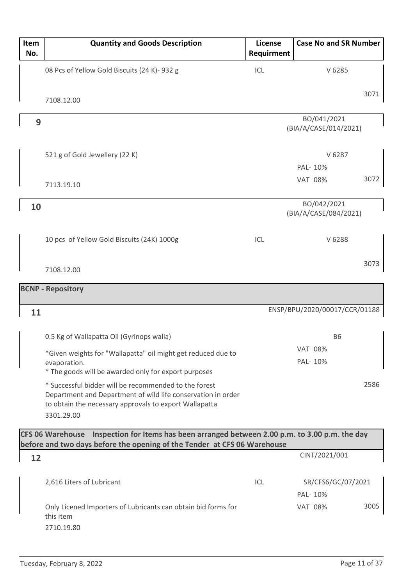| Item<br>No. | <b>Quantity and Goods Description</b>                                                                                                                                                         | License<br>Requirment | <b>Case No and SR Number</b>         |
|-------------|-----------------------------------------------------------------------------------------------------------------------------------------------------------------------------------------------|-----------------------|--------------------------------------|
|             | 08 Pcs of Yellow Gold Biscuits (24 K)- 932 g                                                                                                                                                  | ICL                   | V 6285                               |
|             | 7108.12.00                                                                                                                                                                                    |                       | 3071                                 |
| 9           |                                                                                                                                                                                               |                       | BO/041/2021<br>(BIA/A/CASE/014/2021) |
|             | 521 g of Gold Jewellery (22 K)                                                                                                                                                                |                       | V 6287<br>PAL- 10%                   |
|             | 7113.19.10                                                                                                                                                                                    |                       | 3072<br><b>VAT 08%</b>               |
| 10          |                                                                                                                                                                                               |                       | BO/042/2021<br>(BIA/A/CASE/084/2021) |
|             | 10 pcs of Yellow Gold Biscuits (24K) 1000g                                                                                                                                                    | ICL                   | V 6288                               |
|             | 7108.12.00                                                                                                                                                                                    |                       | 3073                                 |
|             | <b>BCNP - Repository</b>                                                                                                                                                                      |                       |                                      |
| 11          |                                                                                                                                                                                               |                       | ENSP/BPU/2020/00017/CCR/01188        |
|             | 0.5 Kg of Wallapatta Oil (Gyrinops walla)                                                                                                                                                     |                       | <b>B6</b>                            |
|             | *Given weights for "Wallapatta" oil might get reduced due to<br>evaporation.<br>* The goods will be awarded only for export purposes                                                          |                       | <b>VAT 08%</b><br>PAL- 10%           |
|             | * Successful bidder will be recommended to the forest<br>Department and Department of wild life conservation in order<br>to obtain the necessary approvals to export Wallapatta<br>3301.29.00 |                       | 2586                                 |
|             | CFS 06 Warehouse Inspection for Items has been arranged between 2.00 p.m. to 3.00 p.m. the day<br>before and two days before the opening of the Tender at CFS 06 Warehouse                    |                       |                                      |
| 12          |                                                                                                                                                                                               |                       | CINT/2021/001                        |
|             | 2,616 Liters of Lubricant                                                                                                                                                                     | ICL                   | SR/CFS6/GC/07/2021<br>PAL- 10%       |
|             | Only Licened Importers of Lubricants can obtain bid forms for<br>this item<br>2710.19.80                                                                                                      |                       | 3005<br><b>VAT 08%</b>               |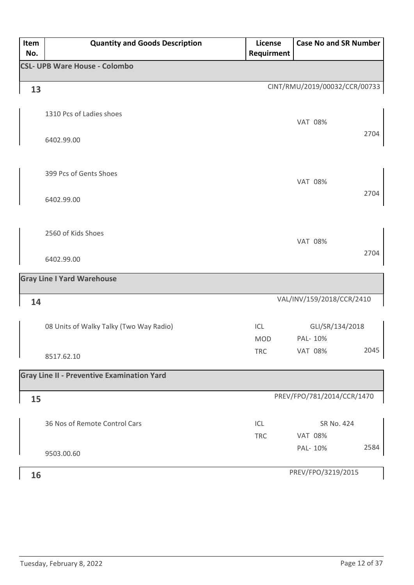| Item<br>No. | <b>Quantity and Goods Description</b>             | <b>License</b><br>Requirment | <b>Case No and SR Number</b>  |      |
|-------------|---------------------------------------------------|------------------------------|-------------------------------|------|
|             | <b>CSL- UPB Ware House - Colombo</b>              |                              |                               |      |
| 13          |                                                   |                              | CINT/RMU/2019/00032/CCR/00733 |      |
|             | 1310 Pcs of Ladies shoes<br>6402.99.00            |                              | <b>VAT 08%</b>                | 2704 |
|             | 399 Pcs of Gents Shoes<br>6402.99.00              |                              | <b>VAT 08%</b>                | 2704 |
|             | 2560 of Kids Shoes                                |                              | <b>VAT 08%</b>                |      |
|             | 6402.99.00                                        |                              |                               | 2704 |
|             | <b>Gray Line I Yard Warehouse</b>                 |                              |                               |      |
| 14          |                                                   |                              | VAL/INV/159/2018/CCR/2410     |      |
|             | 08 Units of Walky Talky (Two Way Radio)           | ICL<br><b>MOD</b>            | GLI/SR/134/2018<br>PAL-10%    |      |
|             | 8517.62.10                                        | <b>TRC</b>                   | <b>VAT 08%</b>                | 2045 |
|             | <b>Gray Line II - Preventive Examination Yard</b> |                              |                               |      |
| 15          |                                                   |                              | PREV/FPO/781/2014/CCR/1470    |      |
|             | 36 Nos of Remote Control Cars                     | ICL<br><b>TRC</b>            | SR No. 424<br><b>VAT 08%</b>  |      |
|             | 9503.00.60                                        |                              | PAL- 10%                      | 2584 |
| 16          |                                                   |                              | PREV/FPO/3219/2015            |      |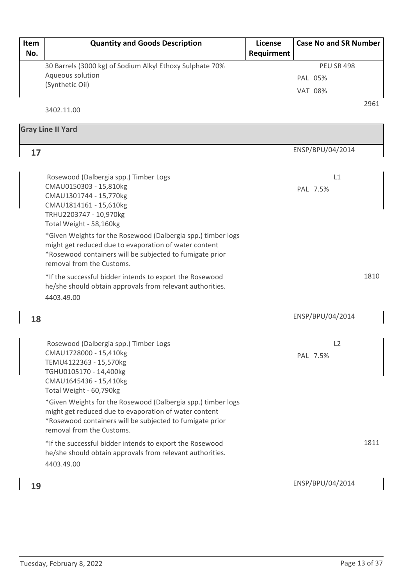| Item | <b>Quantity and Goods Description</b>                        | License    | <b>Case No and SR Number</b> |      |
|------|--------------------------------------------------------------|------------|------------------------------|------|
| No.  |                                                              | Requirment |                              |      |
|      | 30 Barrels (3000 kg) of Sodium Alkyl Ethoxy Sulphate 70%     |            | <b>PEU SR 498</b>            |      |
|      | Aqueous solution                                             |            | PAL 05%                      |      |
|      | (Synthetic Oil)                                              |            | <b>VAT 08%</b>               |      |
|      |                                                              |            |                              | 2961 |
|      | 3402.11.00                                                   |            |                              |      |
|      | <b>Gray Line II Yard</b>                                     |            |                              |      |
|      |                                                              |            |                              |      |
| 17   |                                                              |            | ENSP/BPU/04/2014             |      |
|      |                                                              |            |                              |      |
|      | Rosewood (Dalbergia spp.) Timber Logs                        |            | L1                           |      |
|      | CMAU0150303 - 15,810kg                                       |            | PAL 7.5%                     |      |
|      | CMAU1301744 - 15,770kg                                       |            |                              |      |
|      | CMAU1814161 - 15,610kg<br>TRHU2203747 - 10,970kg             |            |                              |      |
|      | Total Weight - 58,160kg                                      |            |                              |      |
|      | *Given Weights for the Rosewood (Dalbergia spp.) timber logs |            |                              |      |
|      | might get reduced due to evaporation of water content        |            |                              |      |
|      | *Rosewood containers will be subjected to fumigate prior     |            |                              |      |
|      | removal from the Customs.                                    |            |                              |      |
|      | *If the successful bidder intends to export the Rosewood     |            |                              | 1810 |
|      | he/she should obtain approvals from relevant authorities.    |            |                              |      |
|      | 4403.49.00                                                   |            |                              |      |
| 18   |                                                              |            | ENSP/BPU/04/2014             |      |
|      |                                                              |            |                              |      |
|      | Rosewood (Dalbergia spp.) Timber Logs                        |            | L2                           |      |
|      | CMAU1728000 - 15,410kg                                       |            | PAL 7.5%                     |      |
|      | TEMU4122363 - 15,570kg                                       |            |                              |      |
|      | TGHU0105170 - 14,400kg<br>CMAU1645436 - 15,410kg             |            |                              |      |
|      | Total Weight - 60,790kg                                      |            |                              |      |
|      | *Given Weights for the Rosewood (Dalbergia spp.) timber logs |            |                              |      |
|      | might get reduced due to evaporation of water content        |            |                              |      |
|      | *Rosewood containers will be subjected to fumigate prior     |            |                              |      |
|      | removal from the Customs.                                    |            |                              |      |
|      | *If the successful bidder intends to export the Rosewood     |            |                              | 1811 |
|      | he/she should obtain approvals from relevant authorities.    |            |                              |      |
|      | 4403.49.00                                                   |            |                              |      |
|      |                                                              |            | ENSP/BPU/04/2014             |      |
| 19   |                                                              |            |                              |      |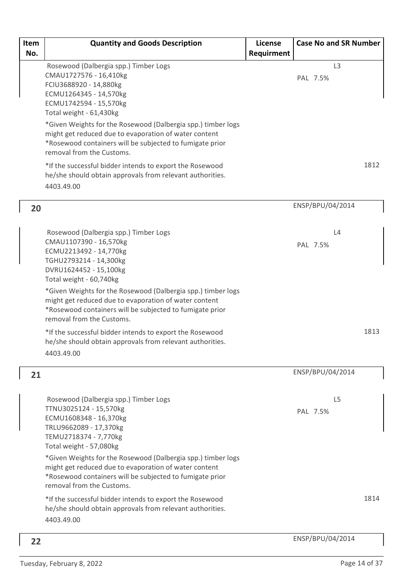| Item<br>No. | <b>Quantity and Goods Description</b>                                                                                                                                                                                                                                                                                                                                                                                                                                                                                             | License<br>Requirment | <b>Case No and SR Number</b> |      |
|-------------|-----------------------------------------------------------------------------------------------------------------------------------------------------------------------------------------------------------------------------------------------------------------------------------------------------------------------------------------------------------------------------------------------------------------------------------------------------------------------------------------------------------------------------------|-----------------------|------------------------------|------|
|             | Rosewood (Dalbergia spp.) Timber Logs<br>CMAU1727576 - 16,410kg<br>FCIU3688920 - 14,880kg<br>ECMU1264345 - 14,570kg<br>ECMU1742594 - 15,570kg<br>Total weight - 61,430kg<br>*Given Weights for the Rosewood (Dalbergia spp.) timber logs<br>might get reduced due to evaporation of water content<br>*Rosewood containers will be subjected to fumigate prior<br>removal from the Customs.<br>*If the successful bidder intends to export the Rosewood<br>he/she should obtain approvals from relevant authorities.<br>4403.49.00 |                       | L <sub>3</sub><br>PAL 7.5%   | 1812 |
| 20          |                                                                                                                                                                                                                                                                                                                                                                                                                                                                                                                                   |                       | ENSP/BPU/04/2014             |      |
|             | Rosewood (Dalbergia spp.) Timber Logs<br>CMAU1107390 - 16,570kg<br>ECMU2213492 - 14,770kg<br>TGHU2793214 - 14,300kg<br>DVRU1624452 - 15,100kg<br>Total weight - 60,740kg<br>*Given Weights for the Rosewood (Dalbergia spp.) timber logs<br>might get reduced due to evaporation of water content<br>*Rosewood containers will be subjected to fumigate prior<br>removal from the Customs.<br>*If the successful bidder intends to export the Rosewood<br>he/she should obtain approvals from relevant authorities.<br>4403.49.00 |                       | L4<br>PAL 7.5%               | 1813 |
| 21          |                                                                                                                                                                                                                                                                                                                                                                                                                                                                                                                                   |                       | ENSP/BPU/04/2014             |      |
|             | Rosewood (Dalbergia spp.) Timber Logs<br>TTNU3025124 - 15,570kg<br>ECMU1608348 - 16,370kg<br>TRLU9662089 - 17,370kg<br>TEMU2718374 - 7,770kg<br>Total weight - 57,080kg<br>*Given Weights for the Rosewood (Dalbergia spp.) timber logs<br>might get reduced due to evaporation of water content<br>*Rosewood containers will be subjected to fumigate prior<br>removal from the Customs.<br>*If the successful bidder intends to export the Rosewood<br>he/she should obtain approvals from relevant authorities.                |                       | L <sub>5</sub><br>PAL 7.5%   | 1814 |
|             | 4403.49.00                                                                                                                                                                                                                                                                                                                                                                                                                                                                                                                        |                       |                              |      |
| 22          |                                                                                                                                                                                                                                                                                                                                                                                                                                                                                                                                   |                       | ENSP/BPU/04/2014             |      |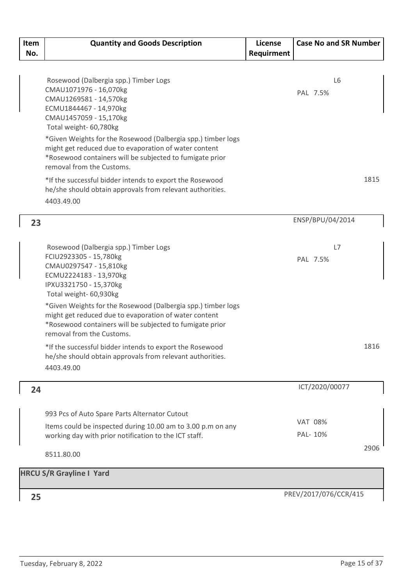| Item | <b>Quantity and Goods Description</b>                                                                                 | License    | <b>Case No and SR Number</b> |
|------|-----------------------------------------------------------------------------------------------------------------------|------------|------------------------------|
| No.  |                                                                                                                       | Requirment |                              |
|      |                                                                                                                       |            |                              |
|      | Rosewood (Dalbergia spp.) Timber Logs                                                                                 |            | L <sub>6</sub>               |
|      | CMAU1071976 - 16,070kg<br>CMAU1269581 - 14,570kg                                                                      |            | PAL 7.5%                     |
|      | ECMU1844467 - 14,970kg                                                                                                |            |                              |
|      | CMAU1457059 - 15,170kg                                                                                                |            |                              |
|      | Total weight- 60,780kg                                                                                                |            |                              |
|      | *Given Weights for the Rosewood (Dalbergia spp.) timber logs<br>might get reduced due to evaporation of water content |            |                              |
|      | *Rosewood containers will be subjected to fumigate prior                                                              |            |                              |
|      | removal from the Customs.                                                                                             |            |                              |
|      | *If the successful bidder intends to export the Rosewood                                                              |            | 1815                         |
|      | he/she should obtain approvals from relevant authorities.                                                             |            |                              |
|      | 4403.49.00                                                                                                            |            |                              |
| 23   |                                                                                                                       |            | ENSP/BPU/04/2014             |
|      |                                                                                                                       |            |                              |
|      | Rosewood (Dalbergia spp.) Timber Logs                                                                                 |            | L7                           |
|      | FCIU2923305 - 15,780kg                                                                                                |            | PAL 7.5%                     |
|      | CMAU0297547 - 15,810kg<br>ECMU2224183 - 13,970kg                                                                      |            |                              |
|      | IPXU3321750 - 15,370kg                                                                                                |            |                              |
|      | Total weight- 60,930kg                                                                                                |            |                              |
|      | *Given Weights for the Rosewood (Dalbergia spp.) timber logs<br>might get reduced due to evaporation of water content |            |                              |
|      | *Rosewood containers will be subjected to fumigate prior                                                              |            |                              |
|      | removal from the Customs.                                                                                             |            |                              |
|      | *If the successful bidder intends to export the Rosewood                                                              |            | 1816                         |
|      | he/she should obtain approvals from relevant authorities.                                                             |            |                              |
|      | 4403.49.00                                                                                                            |            |                              |
| 24   |                                                                                                                       |            | ICT/2020/00077               |
|      |                                                                                                                       |            |                              |
|      | 993 Pcs of Auto Spare Parts Alternator Cutout                                                                         |            |                              |
|      | Items could be inspected during 10.00 am to 3.00 p.m on any                                                           |            | <b>VAT 08%</b>               |
|      | working day with prior notification to the ICT staff.                                                                 |            | PAL- 10%                     |
|      | 8511.80.00                                                                                                            |            | 2906                         |
|      | <b>HRCU S/R Grayline I Yard</b>                                                                                       |            |                              |
|      |                                                                                                                       |            | PREV/2017/076/CCR/415        |
| 25   |                                                                                                                       |            |                              |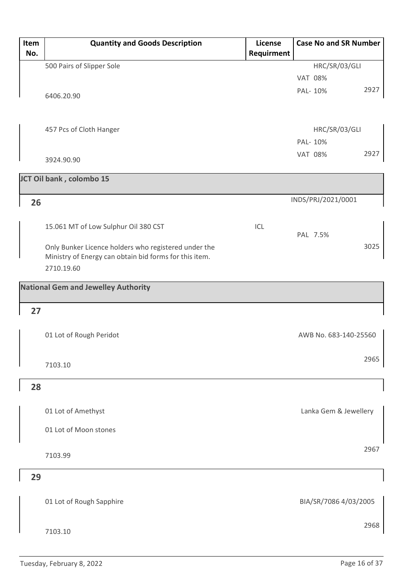| Item<br>No. | <b>Quantity and Goods Description</b>                                                                          | License<br>Requirment | <b>Case No and SR Number</b>      |
|-------------|----------------------------------------------------------------------------------------------------------------|-----------------------|-----------------------------------|
|             |                                                                                                                |                       |                                   |
|             | 500 Pairs of Slipper Sole                                                                                      |                       | HRC/SR/03/GLI                     |
|             |                                                                                                                |                       | <b>VAT 08%</b><br>2927<br>PAL-10% |
|             | 6406.20.90                                                                                                     |                       |                                   |
|             |                                                                                                                |                       |                                   |
|             |                                                                                                                |                       |                                   |
|             | 457 Pcs of Cloth Hanger                                                                                        |                       | HRC/SR/03/GLI                     |
|             |                                                                                                                |                       | PAL-10%                           |
|             | 3924.90.90                                                                                                     |                       | 2927<br><b>VAT 08%</b>            |
|             | JCT Oil bank, colombo 15                                                                                       |                       |                                   |
|             |                                                                                                                |                       |                                   |
| 26          |                                                                                                                |                       | INDS/PRJ/2021/0001                |
|             |                                                                                                                |                       |                                   |
|             | 15.061 MT of Low Sulphur Oil 380 CST                                                                           | ICL                   |                                   |
|             |                                                                                                                |                       | PAL 7.5%                          |
|             | Only Bunker Licence holders who registered under the<br>Ministry of Energy can obtain bid forms for this item. |                       | 3025                              |
|             | 2710.19.60                                                                                                     |                       |                                   |
|             |                                                                                                                |                       |                                   |
|             | <b>National Gem and Jewelley Authority</b>                                                                     |                       |                                   |
| 27          |                                                                                                                |                       |                                   |
|             |                                                                                                                |                       |                                   |
|             | 01 Lot of Rough Peridot                                                                                        |                       | AWB No. 683-140-25560             |
|             |                                                                                                                |                       |                                   |
|             | 7103.10                                                                                                        |                       | 2965                              |
|             |                                                                                                                |                       |                                   |
| 28          |                                                                                                                |                       |                                   |
|             |                                                                                                                |                       |                                   |
|             | 01 Lot of Amethyst                                                                                             |                       | Lanka Gem & Jewellery             |
|             | 01 Lot of Moon stones                                                                                          |                       |                                   |
|             |                                                                                                                |                       |                                   |
|             | 7103.99                                                                                                        |                       | 2967                              |
|             |                                                                                                                |                       |                                   |
| 29          |                                                                                                                |                       |                                   |
|             |                                                                                                                |                       |                                   |
|             | 01 Lot of Rough Sapphire                                                                                       |                       | BIA/SR/7086 4/03/2005             |
|             |                                                                                                                |                       |                                   |
|             | 7103.10                                                                                                        |                       | 2968                              |
|             |                                                                                                                |                       |                                   |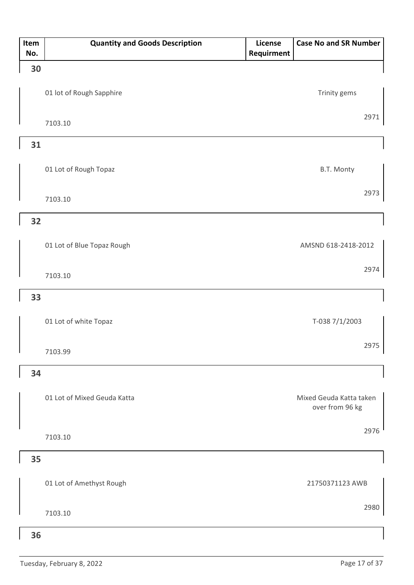| Item<br>No. | <b>Quantity and Goods Description</b> | License<br>Requirment | <b>Case No and SR Number</b>               |
|-------------|---------------------------------------|-----------------------|--------------------------------------------|
| 30          |                                       |                       |                                            |
|             | 01 lot of Rough Sapphire              |                       | Trinity gems                               |
|             | 7103.10                               |                       | 2971                                       |
| 31          |                                       |                       |                                            |
|             | 01 Lot of Rough Topaz                 |                       | B.T. Monty                                 |
|             | 7103.10                               |                       | 2973                                       |
| 32          |                                       |                       |                                            |
|             | 01 Lot of Blue Topaz Rough            |                       | AMSND 618-2418-2012                        |
|             | 7103.10                               |                       | 2974                                       |
| 33          |                                       |                       |                                            |
|             | 01 Lot of white Topaz                 |                       | T-038 7/1/2003                             |
|             | 7103.99                               |                       | 2975                                       |
| 34          |                                       |                       |                                            |
|             | 01 Lot of Mixed Geuda Katta           |                       | Mixed Geuda Katta taken<br>over from 96 kg |
|             | 7103.10                               |                       | 2976                                       |
| 35          |                                       |                       |                                            |
|             | 01 Lot of Amethyst Rough              |                       | 21750371123 AWB                            |
|             | 7103.10                               |                       | 2980                                       |
| 36          |                                       |                       |                                            |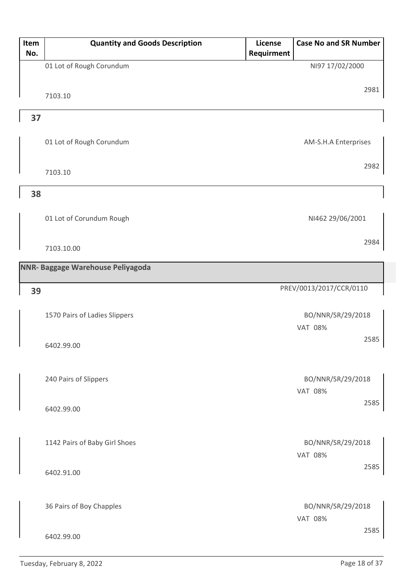| Item | <b>Quantity and Goods Description</b> | License    | <b>Case No and SR Number</b> |      |
|------|---------------------------------------|------------|------------------------------|------|
| No.  |                                       | Requirment |                              |      |
|      | 01 Lot of Rough Corundum              |            | NI97 17/02/2000              |      |
|      |                                       |            |                              |      |
|      | 7103.10                               |            |                              | 2981 |
|      |                                       |            |                              |      |
| 37   |                                       |            |                              |      |
|      |                                       |            |                              |      |
|      | 01 Lot of Rough Corundum              |            | AM-S.H.A Enterprises         |      |
|      |                                       |            |                              | 2982 |
|      | 7103.10                               |            |                              |      |
| 38   |                                       |            |                              |      |
|      |                                       |            |                              |      |
|      | 01 Lot of Corundum Rough              |            | NI462 29/06/2001             |      |
|      |                                       |            |                              |      |
|      | 7103.10.00                            |            |                              | 2984 |
|      |                                       |            |                              |      |
|      | NNR- Baggage Warehouse Peliyagoda     |            |                              |      |
|      |                                       |            | PREV/0013/2017/CCR/0110      |      |
| 39   |                                       |            |                              |      |
|      | 1570 Pairs of Ladies Slippers         |            | BO/NNR/SR/29/2018            |      |
|      |                                       |            | <b>VAT 08%</b>               |      |
|      |                                       |            |                              | 2585 |
|      | 6402.99.00                            |            |                              |      |
|      |                                       |            |                              |      |
|      | 240 Pairs of Slippers                 |            | BO/NNR/SR/29/2018            |      |
|      |                                       |            | <b>VAT 08%</b>               |      |
|      | 6402.99.00                            |            |                              | 2585 |
|      |                                       |            |                              |      |
|      |                                       |            |                              |      |
|      | 1142 Pairs of Baby Girl Shoes         |            | BO/NNR/SR/29/2018            |      |
|      |                                       |            | <b>VAT 08%</b>               |      |
|      | 6402.91.00                            |            |                              | 2585 |
|      |                                       |            |                              |      |
|      |                                       |            |                              |      |
|      | 36 Pairs of Boy Chapples              |            | BO/NNR/SR/29/2018            |      |
|      |                                       |            | VAT 08%                      | 2585 |
|      | 6402.99.00                            |            |                              |      |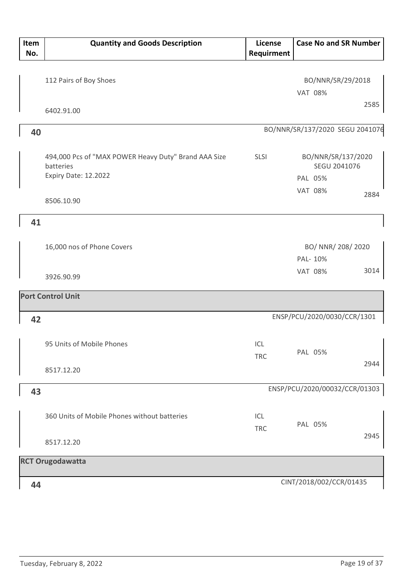| Item<br>No. | <b>Quantity and Goods Description</b>                                                     | <b>License</b><br>Requirment | <b>Case No and SR Number</b>                                            |
|-------------|-------------------------------------------------------------------------------------------|------------------------------|-------------------------------------------------------------------------|
|             | 112 Pairs of Boy Shoes                                                                    |                              | BO/NNR/SR/29/2018<br><b>VAT 08%</b>                                     |
|             | 6402.91.00                                                                                |                              | 2585                                                                    |
| 40          |                                                                                           |                              | BO/NNR/SR/137/2020 SEGU 2041076                                         |
|             | 494,000 Pcs of "MAX POWER Heavy Duty" Brand AAA Size<br>batteries<br>Expiry Date: 12.2022 | <b>SLSI</b>                  | BO/NNR/SR/137/2020<br>SEGU 2041076<br>PAL 05%<br><b>VAT 08%</b><br>2884 |
|             | 8506.10.90                                                                                |                              |                                                                         |
| 41          |                                                                                           |                              |                                                                         |
|             | 16,000 nos of Phone Covers                                                                |                              | BO/ NNR/ 208/ 2020<br>PAL- 10%                                          |
|             | 3926.90.99                                                                                |                              | 3014<br><b>VAT 08%</b>                                                  |
|             | <b>Port Control Unit</b>                                                                  |                              |                                                                         |
| 42          |                                                                                           |                              | ENSP/PCU/2020/0030/CCR/1301                                             |
|             | 95 Units of Mobile Phones                                                                 | ICL<br><b>TRC</b>            | PAL 05%<br>2944                                                         |
|             | 8517.12.20                                                                                |                              |                                                                         |
| 43          |                                                                                           |                              | ENSP/PCU/2020/00032/CCR/01303                                           |
|             | 360 Units of Mobile Phones without batteries                                              | ICL<br><b>TRC</b>            | PAL 05%<br>2945                                                         |
|             | 8517.12.20                                                                                |                              |                                                                         |
|             | <b>RCT Orugodawatta</b>                                                                   |                              |                                                                         |
| 44          |                                                                                           |                              | CINT/2018/002/CCR/01435                                                 |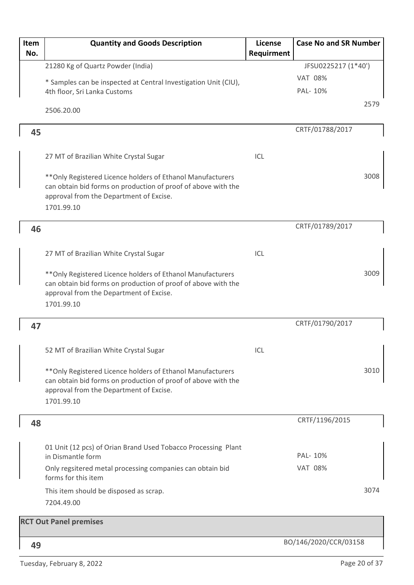| Item |     | <b>Quantity and Goods Description</b>                                                                                                                                                 | License    | <b>Case No and SR Number</b> |
|------|-----|---------------------------------------------------------------------------------------------------------------------------------------------------------------------------------------|------------|------------------------------|
|      | No. |                                                                                                                                                                                       | Requirment |                              |
|      |     | 21280 Kg of Quartz Powder (India)                                                                                                                                                     |            | JFSU0225217 (1*40')          |
|      |     | * Samples can be inspected at Central Investigation Unit (CIU),                                                                                                                       |            | <b>VAT 08%</b>               |
|      |     | 4th floor, Sri Lanka Customs                                                                                                                                                          |            | PAL-10%                      |
|      |     | 2506.20.00                                                                                                                                                                            |            | 2579                         |
|      | 45  |                                                                                                                                                                                       |            | CRTF/01788/2017              |
|      |     |                                                                                                                                                                                       |            |                              |
|      |     | 27 MT of Brazilian White Crystal Sugar                                                                                                                                                | ICL        |                              |
|      |     | ** Only Registered Licence holders of Ethanol Manufacturers<br>can obtain bid forms on production of proof of above with the<br>approval from the Department of Excise.<br>1701.99.10 |            | 3008                         |
|      | 46  |                                                                                                                                                                                       |            | CRTF/01789/2017              |
|      |     |                                                                                                                                                                                       |            |                              |
|      |     | 27 MT of Brazilian White Crystal Sugar                                                                                                                                                | ICL        |                              |
|      |     | ** Only Registered Licence holders of Ethanol Manufacturers<br>can obtain bid forms on production of proof of above with the<br>approval from the Department of Excise.<br>1701.99.10 |            | 3009                         |
|      | 47  |                                                                                                                                                                                       |            | CRTF/01790/2017              |
|      |     |                                                                                                                                                                                       |            |                              |
|      |     | 52 MT of Brazilian White Crystal Sugar                                                                                                                                                | ICL        |                              |
|      |     | ** Only Registered Licence holders of Ethanol Manufacturers<br>can obtain bid forms on production of proof of above with the<br>approval from the Department of Excise.<br>1701.99.10 |            | 3010                         |
|      | 48  |                                                                                                                                                                                       |            | CRTF/1196/2015               |
|      |     | 01 Unit (12 pcs) of Orian Brand Used Tobacco Processing Plant                                                                                                                         |            |                              |
|      |     | in Dismantle form                                                                                                                                                                     |            | PAL-10%                      |
|      |     | Only regsitered metal processing companies can obtain bid<br>forms for this item                                                                                                      |            | <b>VAT 08%</b>               |
|      |     | This item should be disposed as scrap.<br>7204.49.00                                                                                                                                  |            | 3074                         |
|      |     | <b>RCT Out Panel premises</b>                                                                                                                                                         |            |                              |
|      |     |                                                                                                                                                                                       |            |                              |
|      | 49  |                                                                                                                                                                                       |            | BO/146/2020/CCR/03158        |

Tuesday, February 8, 2022 **Page 20 of 37**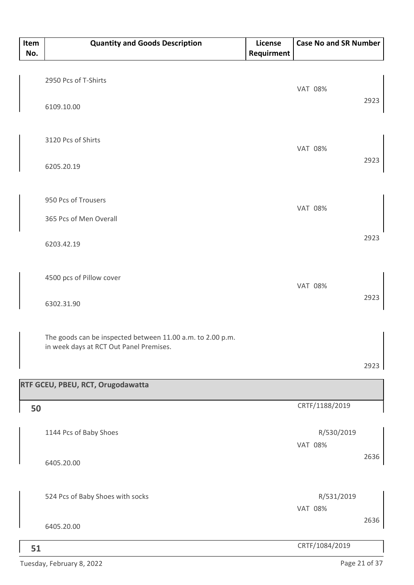| Item<br>No. | <b>Quantity and Goods Description</b>                                                                 | License<br>Requirment | <b>Case No and SR Number</b> |      |
|-------------|-------------------------------------------------------------------------------------------------------|-----------------------|------------------------------|------|
|             |                                                                                                       |                       |                              |      |
|             | 2950 Pcs of T-Shirts                                                                                  |                       | <b>VAT 08%</b>               |      |
|             | 6109.10.00                                                                                            |                       |                              | 2923 |
|             | 3120 Pcs of Shirts                                                                                    |                       | <b>VAT 08%</b>               |      |
|             | 6205.20.19                                                                                            |                       |                              | 2923 |
|             | 950 Pcs of Trousers                                                                                   |                       | <b>VAT 08%</b>               |      |
|             | 365 Pcs of Men Overall                                                                                |                       |                              |      |
|             | 6203.42.19                                                                                            |                       |                              | 2923 |
|             | 4500 pcs of Pillow cover                                                                              |                       | <b>VAT 08%</b>               |      |
|             | 6302.31.90                                                                                            |                       |                              | 2923 |
|             | The goods can be inspected between 11.00 a.m. to 2.00 p.m.<br>in week days at RCT Out Panel Premises. |                       |                              |      |
|             |                                                                                                       |                       |                              | 2923 |
|             | RTF GCEU, PBEU, RCT, Orugodawatta                                                                     |                       |                              |      |
| 50          |                                                                                                       |                       | CRTF/1188/2019               |      |
|             | 1144 Pcs of Baby Shoes                                                                                |                       | R/530/2019<br><b>VAT 08%</b> |      |
|             | 6405.20.00                                                                                            |                       |                              | 2636 |
|             | 524 Pcs of Baby Shoes with socks                                                                      |                       | R/531/2019                   |      |
|             | 6405.20.00                                                                                            |                       | <b>VAT 08%</b>               | 2636 |
| 51          |                                                                                                       |                       | CRTF/1084/2019               |      |

Tuesday, February 8, 2022 Page 21 of 37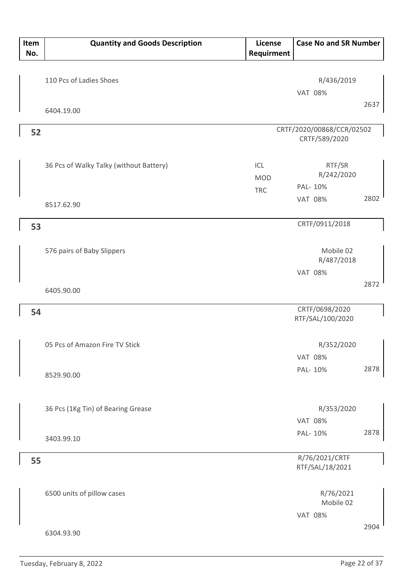| Item<br>No. | <b>Quantity and Goods Description</b>   | <b>License</b><br>Requirment | <b>Case No and SR Number</b>               |      |
|-------------|-----------------------------------------|------------------------------|--------------------------------------------|------|
|             | 110 Pcs of Ladies Shoes                 |                              | R/436/2019                                 |      |
|             |                                         |                              | <b>VAT 08%</b>                             |      |
|             | 6404.19.00                              |                              |                                            | 2637 |
| 52          |                                         |                              | CRTF/2020/00868/CCR/02502<br>CRTF/589/2020 |      |
|             | 36 Pcs of Walky Talky (without Battery) | ICL<br><b>MOD</b>            | RTF/SR<br>R/242/2020                       |      |
|             | 8517.62.90                              | <b>TRC</b>                   | PAL-10%<br><b>VAT 08%</b>                  | 2802 |
| 53          |                                         |                              | CRTF/0911/2018                             |      |
|             | 576 pairs of Baby Slippers              |                              | Mobile 02<br>R/487/2018                    |      |
|             | 6405.90.00                              |                              | <b>VAT 08%</b>                             | 2872 |
| 54          |                                         |                              | CRTF/0698/2020<br>RTF/SAL/100/2020         |      |
|             | 05 Pcs of Amazon Fire TV Stick          |                              | R/352/2020<br><b>VAT 08%</b>               |      |
|             | 8529.90.00                              |                              | PAL-10%                                    | 2878 |
|             | 36 Pcs (1Kg Tin) of Bearing Grease      |                              | R/353/2020<br><b>VAT 08%</b>               |      |
|             | 3403.99.10                              |                              | PAL-10%                                    | 2878 |
| 55          |                                         |                              | R/76/2021/CRTF<br>RTF/SAL/18/2021          |      |
|             | 6500 units of pillow cases              |                              | R/76/2021<br>Mobile 02                     |      |
|             | 6304.93.90                              |                              | <b>VAT 08%</b>                             | 2904 |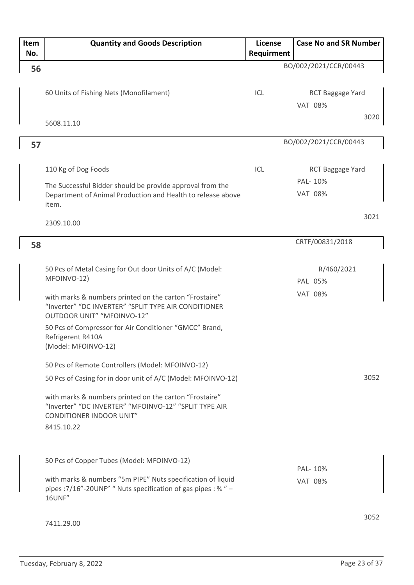| Item | <b>Quantity and Goods Description</b>                                                                                    | License    | <b>Case No and SR Number</b> |
|------|--------------------------------------------------------------------------------------------------------------------------|------------|------------------------------|
| No.  |                                                                                                                          | Requirment |                              |
| 56   |                                                                                                                          |            | BO/002/2021/CCR/00443        |
|      |                                                                                                                          |            |                              |
|      | 60 Units of Fishing Nets (Monofilament)                                                                                  | ICL        | RCT Baggage Yard             |
|      |                                                                                                                          |            | <b>VAT 08%</b>               |
|      |                                                                                                                          |            | 3020                         |
|      | 5608.11.10                                                                                                               |            |                              |
| 57   |                                                                                                                          |            | BO/002/2021/CCR/00443        |
|      |                                                                                                                          |            |                              |
|      | 110 Kg of Dog Foods                                                                                                      | ICL        | RCT Baggage Yard             |
|      |                                                                                                                          |            | PAL-10%                      |
|      | The Successful Bidder should be provide approval from the<br>Department of Animal Production and Health to release above |            | <b>VAT 08%</b>               |
|      | item.                                                                                                                    |            |                              |
|      |                                                                                                                          |            | 3021                         |
|      | 2309.10.00                                                                                                               |            |                              |
| 58   |                                                                                                                          |            | CRTF/00831/2018              |
|      |                                                                                                                          |            |                              |
|      | 50 Pcs of Metal Casing for Out door Units of A/C (Model:                                                                 |            | R/460/2021                   |
|      | MFOINVO-12)                                                                                                              |            | PAL 05%                      |
|      | with marks & numbers printed on the carton "Frostaire"                                                                   |            | <b>VAT 08%</b>               |
|      | "Inverter" "DC INVERTER" "SPLIT TYPE AIR CONDITIONER                                                                     |            |                              |
|      | OUTDOOR UNIT" "MFOINVO-12"                                                                                               |            |                              |
|      | 50 Pcs of Compressor for Air Conditioner "GMCC" Brand,                                                                   |            |                              |
|      | Refrigerent R410A<br>(Model: MFOINVO-12)                                                                                 |            |                              |
|      |                                                                                                                          |            |                              |
|      | 50 Pcs of Remote Controllers (Model: MFOINVO-12)                                                                         |            |                              |
|      | 50 Pcs of Casing for in door unit of A/C (Model: MFOINVO-12)                                                             |            | 3052                         |
|      | with marks & numbers printed on the carton "Frostaire"                                                                   |            |                              |
|      | "Inverter" "DC INVERTER" "MFOINVO-12" "SPLIT TYPE AIR                                                                    |            |                              |
|      | <b>CONDITIONER INDOOR UNIT"</b>                                                                                          |            |                              |
|      | 8415.10.22                                                                                                               |            |                              |
|      |                                                                                                                          |            |                              |
|      | 50 Pcs of Copper Tubes (Model: MFOINVO-12)                                                                               |            |                              |
|      |                                                                                                                          |            | PAL- 10%                     |
|      | with marks & numbers "5m PIPE" Nuts specification of liquid                                                              |            | <b>VAT 08%</b>               |
|      | pipes : 7/16"-20UNF" " Nuts specification of gas pipes : 34 " -<br><b>16UNF"</b>                                         |            |                              |
|      |                                                                                                                          |            |                              |
|      | 7411.29.00                                                                                                               |            | 3052                         |
|      |                                                                                                                          |            |                              |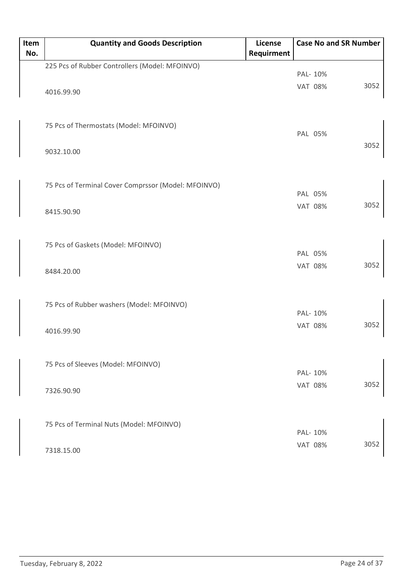| Item | <b>Quantity and Goods Description</b>               | License    | <b>Case No and SR Number</b> |      |
|------|-----------------------------------------------------|------------|------------------------------|------|
| No.  |                                                     | Requirment |                              |      |
|      | 225 Pcs of Rubber Controllers (Model: MFOINVO)      |            |                              |      |
|      |                                                     |            | PAL-10%                      |      |
|      | 4016.99.90                                          |            | <b>VAT 08%</b>               | 3052 |
|      |                                                     |            |                              |      |
|      |                                                     |            |                              |      |
|      | 75 Pcs of Thermostats (Model: MFOINVO)              |            |                              |      |
|      |                                                     |            | PAL 05%                      |      |
|      | 9032.10.00                                          |            |                              | 3052 |
|      |                                                     |            |                              |      |
|      |                                                     |            |                              |      |
|      | 75 Pcs of Terminal Cover Comprssor (Model: MFOINVO) |            |                              |      |
|      |                                                     |            | PAL 05%                      |      |
|      | 8415.90.90                                          |            | <b>VAT 08%</b>               | 3052 |
|      |                                                     |            |                              |      |
|      |                                                     |            |                              |      |
|      | 75 Pcs of Gaskets (Model: MFOINVO)                  |            |                              |      |
|      |                                                     |            | PAL 05%                      |      |
|      | 8484.20.00                                          |            | <b>VAT 08%</b>               | 3052 |
|      |                                                     |            |                              |      |
|      |                                                     |            |                              |      |
|      | 75 Pcs of Rubber washers (Model: MFOINVO)           |            |                              |      |
|      |                                                     |            | PAL-10%                      |      |
|      | 4016.99.90                                          |            | <b>VAT 08%</b>               | 3052 |
|      |                                                     |            |                              |      |
|      |                                                     |            |                              |      |
|      | 75 Pcs of Sleeves (Model: MFOINVO)                  |            |                              |      |
|      |                                                     |            | PAL-10%                      |      |
|      |                                                     |            | <b>VAT 08%</b>               | 3052 |
|      | 7326.90.90                                          |            |                              |      |
|      |                                                     |            |                              |      |
|      |                                                     |            |                              |      |
|      | 75 Pcs of Terminal Nuts (Model: MFOINVO)            |            | PAL-10%                      |      |
|      |                                                     |            | <b>VAT 08%</b>               | 3052 |
|      | 7318.15.00                                          |            |                              |      |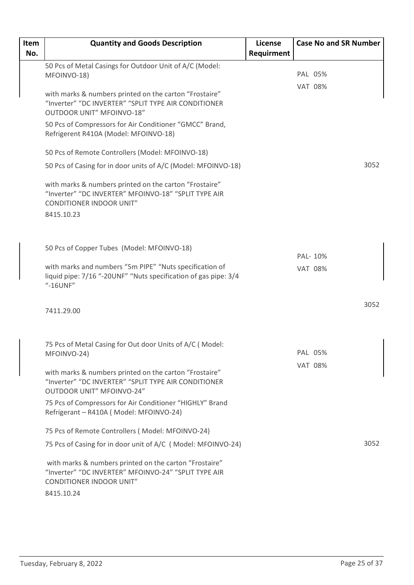| Item | <b>Quantity and Goods Description</b>                                                                                                                           | <b>License</b> |                | <b>Case No and SR Number</b> |      |
|------|-----------------------------------------------------------------------------------------------------------------------------------------------------------------|----------------|----------------|------------------------------|------|
| No.  |                                                                                                                                                                 | Requirment     |                |                              |      |
|      | 50 Pcs of Metal Casings for Outdoor Unit of A/C (Model:                                                                                                         |                |                | PAL 05%                      |      |
|      | MFOINVO-18)                                                                                                                                                     |                |                |                              |      |
|      | with marks & numbers printed on the carton "Frostaire"<br>"Inverter" "DC INVERTER" "SPLIT TYPE AIR CONDITIONER<br><b>OUTDOOR UNIT" MFOINVO-18"</b>              |                |                | <b>VAT 08%</b>               |      |
|      | 50 Pcs of Compressors for Air Conditioner "GMCC" Brand,<br>Refrigerent R410A (Model: MFOINVO-18)                                                                |                |                |                              |      |
|      | 50 Pcs of Remote Controllers (Model: MFOINVO-18)                                                                                                                |                |                |                              |      |
|      | 50 Pcs of Casing for in door units of A/C (Model: MFOINVO-18)                                                                                                   |                |                |                              | 3052 |
|      | with marks & numbers printed on the carton "Frostaire"<br>"Inverter" "DC INVERTER" MFOINVO-18" "SPLIT TYPE AIR<br><b>CONDITIONER INDOOR UNIT"</b>               |                |                |                              |      |
|      | 8415.10.23                                                                                                                                                      |                |                |                              |      |
|      |                                                                                                                                                                 |                |                |                              |      |
|      | 50 Pcs of Copper Tubes (Model: MFOINVO-18)                                                                                                                      |                |                | PAL- 10%                     |      |
|      | with marks and numbers "5m PIPE" "Nuts specification of<br>liquid pipe: 7/16 "-20UNF" "Nuts specification of gas pipe: 3/4<br>"-16UNF"                          |                |                | <b>VAT 08%</b>               |      |
|      | 7411.29.00                                                                                                                                                      |                |                |                              | 3052 |
|      |                                                                                                                                                                 |                |                |                              |      |
|      | 75 Pcs of Metal Casing for Out door Units of A/C (Model:<br>MFOINVO-24)                                                                                         |                |                | PAL 05%                      |      |
|      | with marks & numbers printed on the carton "Frostaire"<br>"Inverter" "DC INVERTER" "SPLIT TYPE AIR CONDITIONER<br><b>OUTDOOR UNIT" MFOINVO-24"</b>              |                | <b>VAT 08%</b> |                              |      |
|      | 75 Pcs of Compressors for Air Conditioner "HIGHLY" Brand<br>Refrigerant - R410A (Model: MFOINVO-24)                                                             |                |                |                              |      |
|      | 75 Pcs of Remote Controllers (Model: MFOINVO-24)                                                                                                                |                |                |                              |      |
|      | 75 Pcs of Casing for in door unit of A/C (Model: MFOINVO-24)                                                                                                    |                |                |                              | 3052 |
|      | with marks & numbers printed on the carton "Frostaire"<br>"Inverter" "DC INVERTER" MFOINVO-24" "SPLIT TYPE AIR<br><b>CONDITIONER INDOOR UNIT"</b><br>8415.10.24 |                |                |                              |      |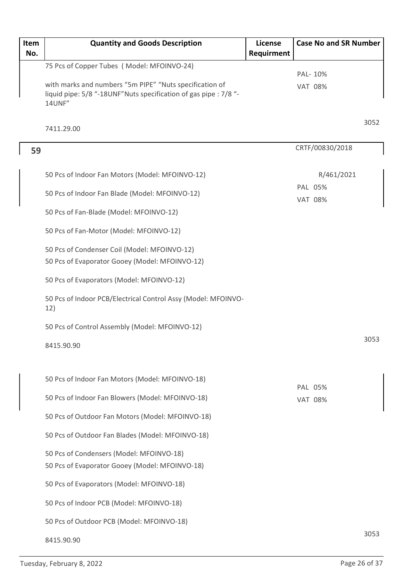| Item<br>No. | <b>Quantity and Goods Description</b>                                                                                        | <b>License</b><br>Requirment | <b>Case No and SR Number</b> |      |
|-------------|------------------------------------------------------------------------------------------------------------------------------|------------------------------|------------------------------|------|
|             | 75 Pcs of Copper Tubes (Model: MFOINVO-24)                                                                                   |                              |                              |      |
|             | with marks and numbers "5m PIPE" "Nuts specification of<br>liquid pipe: 5/8 "-18UNF" Nuts specification of gas pipe : 7/8 "- |                              | PAL- 10%<br><b>VAT 08%</b>   |      |
|             | 14UNF"<br>7411.29.00                                                                                                         |                              |                              | 3052 |
| 59          |                                                                                                                              |                              | CRTF/00830/2018              |      |
|             | 50 Pcs of Indoor Fan Motors (Model: MFOINVO-12)                                                                              |                              | R/461/2021                   |      |
|             | 50 Pcs of Indoor Fan Blade (Model: MFOINVO-12)                                                                               |                              | PAL 05%<br><b>VAT 08%</b>    |      |
|             | 50 Pcs of Fan-Blade (Model: MFOINVO-12)                                                                                      |                              |                              |      |
|             | 50 Pcs of Fan-Motor (Model: MFOINVO-12)                                                                                      |                              |                              |      |
|             | 50 Pcs of Condenser Coil (Model: MFOINVO-12)<br>50 Pcs of Evaporator Gooey (Model: MFOINVO-12)                               |                              |                              |      |
|             | 50 Pcs of Evaporators (Model: MFOINVO-12)                                                                                    |                              |                              |      |
|             | 50 Pcs of Indoor PCB/Electrical Control Assy (Model: MFOINVO-<br>12)                                                         |                              |                              |      |
|             | 50 Pcs of Control Assembly (Model: MFOINVO-12)                                                                               |                              |                              |      |
|             | 8415.90.90                                                                                                                   |                              |                              | 3053 |
|             | 50 Pcs of Indoor Fan Motors (Model: MFOINVO-18)                                                                              |                              | PAL 05%                      |      |
|             | 50 Pcs of Indoor Fan Blowers (Model: MFOINVO-18)                                                                             |                              | <b>VAT 08%</b>               |      |
|             | 50 Pcs of Outdoor Fan Motors (Model: MFOINVO-18)                                                                             |                              |                              |      |
|             | 50 Pcs of Outdoor Fan Blades (Model: MFOINVO-18)                                                                             |                              |                              |      |
|             | 50 Pcs of Condensers (Model: MFOINVO-18)<br>50 Pcs of Evaporator Gooey (Model: MFOINVO-18)                                   |                              |                              |      |
|             | 50 Pcs of Evaporators (Model: MFOINVO-18)                                                                                    |                              |                              |      |
|             | 50 Pcs of Indoor PCB (Model: MFOINVO-18)                                                                                     |                              |                              |      |
|             | 50 Pcs of Outdoor PCB (Model: MFOINVO-18)                                                                                    |                              |                              |      |
|             | 8415.90.90                                                                                                                   |                              |                              | 3053 |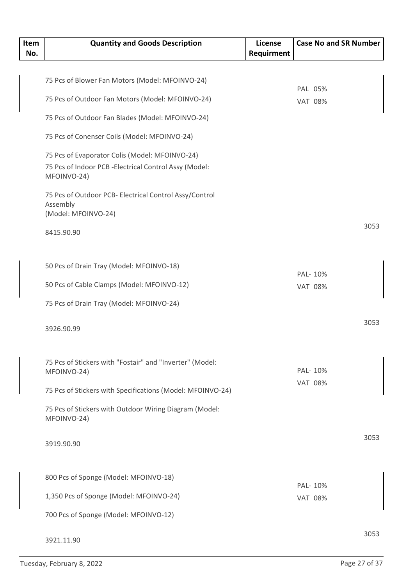| Item<br>No. | <b>Quantity and Goods Description</b>                                 | <b>License</b><br>Requirment | <b>Case No and SR Number</b> |      |
|-------------|-----------------------------------------------------------------------|------------------------------|------------------------------|------|
|             |                                                                       |                              |                              |      |
|             | 75 Pcs of Blower Fan Motors (Model: MFOINVO-24)                       |                              |                              |      |
|             |                                                                       |                              | PAL 05%                      |      |
|             | 75 Pcs of Outdoor Fan Motors (Model: MFOINVO-24)                      |                              | <b>VAT 08%</b>               |      |
|             | 75 Pcs of Outdoor Fan Blades (Model: MFOINVO-24)                      |                              |                              |      |
|             | 75 Pcs of Conenser Coils (Model: MFOINVO-24)                          |                              |                              |      |
|             | 75 Pcs of Evaporator Colis (Model: MFOINVO-24)                        |                              |                              |      |
|             | 75 Pcs of Indoor PCB - Electrical Control Assy (Model:<br>MFOINVO-24) |                              |                              |      |
|             | 75 Pcs of Outdoor PCB- Electrical Control Assy/Control                |                              |                              |      |
|             | Assembly<br>(Model: MFOINVO-24)                                       |                              |                              |      |
|             | 8415.90.90                                                            |                              |                              | 3053 |
|             | 50 Pcs of Drain Tray (Model: MFOINVO-18)                              |                              |                              |      |
|             | 50 Pcs of Cable Clamps (Model: MFOINVO-12)                            |                              | PAL-10%                      |      |
|             |                                                                       |                              | <b>VAT 08%</b>               |      |
|             | 75 Pcs of Drain Tray (Model: MFOINVO-24)                              |                              |                              |      |
|             | 3926.90.99                                                            |                              |                              | 3053 |
|             | 75 Pcs of Stickers with "Fostair" and "Inverter" (Model:              |                              |                              |      |
|             | MFOINVO-24)                                                           |                              | PAL-10%                      |      |
|             | 75 Pcs of Stickers with Specifications (Model: MFOINVO-24)            |                              | <b>VAT 08%</b>               |      |
|             | 75 Pcs of Stickers with Outdoor Wiring Diagram (Model:<br>MFOINVO-24) |                              |                              |      |
|             | 3919.90.90                                                            |                              |                              | 3053 |
|             |                                                                       |                              |                              |      |
|             | 800 Pcs of Sponge (Model: MFOINVO-18)                                 |                              | PAL-10%                      |      |
|             | 1,350 Pcs of Sponge (Model: MFOINVO-24)                               |                              | <b>VAT 08%</b>               |      |
|             | 700 Pcs of Sponge (Model: MFOINVO-12)                                 |                              |                              |      |
|             | 3921.11.90                                                            |                              |                              | 3053 |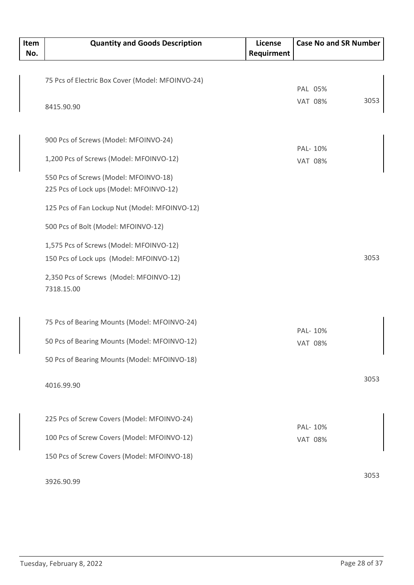| Item<br>No. | <b>Quantity and Goods Description</b>            | License<br>Requirment | <b>Case No and SR Number</b> |      |
|-------------|--------------------------------------------------|-----------------------|------------------------------|------|
|             |                                                  |                       |                              |      |
|             | 75 Pcs of Electric Box Cover (Model: MFOINVO-24) |                       | PAL 05%                      |      |
|             |                                                  |                       | <b>VAT 08%</b>               | 3053 |
|             | 8415.90.90                                       |                       |                              |      |
|             |                                                  |                       |                              |      |
|             | 900 Pcs of Screws (Model: MFOINVO-24)            |                       |                              |      |
|             | 1,200 Pcs of Screws (Model: MFOINVO-12)          |                       | PAL- 10%<br><b>VAT 08%</b>   |      |
|             |                                                  |                       |                              |      |
|             | 550 Pcs of Screws (Model: MFOINVO-18)            |                       |                              |      |
|             | 225 Pcs of Lock ups (Model: MFOINVO-12)          |                       |                              |      |
|             | 125 Pcs of Fan Lockup Nut (Model: MFOINVO-12)    |                       |                              |      |
|             | 500 Pcs of Bolt (Model: MFOINVO-12)              |                       |                              |      |
|             | 1,575 Pcs of Screws (Model: MFOINVO-12)          |                       |                              |      |
|             | 150 Pcs of Lock ups (Model: MFOINVO-12)          |                       |                              | 3053 |
|             | 2,350 Pcs of Screws (Model: MFOINVO-12)          |                       |                              |      |
|             | 7318.15.00                                       |                       |                              |      |
|             |                                                  |                       |                              |      |
|             | 75 Pcs of Bearing Mounts (Model: MFOINVO-24)     |                       |                              |      |
|             |                                                  |                       | PAL-10%                      |      |
|             | 50 Pcs of Bearing Mounts (Model: MFOINVO-12)     |                       | <b>VAT 08%</b>               |      |
|             | 50 Pcs of Bearing Mounts (Model: MFOINVO-18)     |                       |                              |      |
|             |                                                  |                       |                              | 3053 |
|             | 4016.99.90                                       |                       |                              |      |
|             |                                                  |                       |                              |      |
|             | 225 Pcs of Screw Covers (Model: MFOINVO-24)      |                       | PAL-10%                      |      |
|             | 100 Pcs of Screw Covers (Model: MFOINVO-12)      |                       | <b>VAT 08%</b>               |      |
|             | 150 Pcs of Screw Covers (Model: MFOINVO-18)      |                       |                              |      |
|             |                                                  |                       |                              |      |
|             | 3926.90.99                                       |                       |                              | 3053 |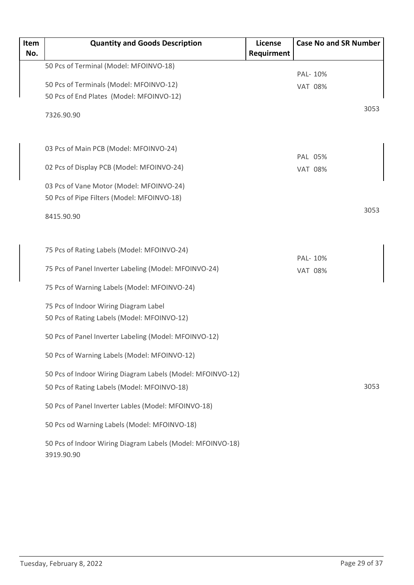| Item<br>No. | <b>Quantity and Goods Description</b>                                    | <b>License</b><br>Requirment | <b>Case No and SR Number</b> |
|-------------|--------------------------------------------------------------------------|------------------------------|------------------------------|
|             | 50 Pcs of Terminal (Model: MFOINVO-18)                                   |                              |                              |
|             |                                                                          |                              | PAL- 10%                     |
|             | 50 Pcs of Terminals (Model: MFOINVO-12)                                  |                              | <b>VAT 08%</b>               |
|             | 50 Pcs of End Plates (Model: MFOINVO-12)                                 |                              |                              |
|             | 7326.90.90                                                               |                              | 3053                         |
|             | 03 Pcs of Main PCB (Model: MFOINVO-24)                                   |                              | PAL 05%                      |
|             | 02 Pcs of Display PCB (Model: MFOINVO-24)                                |                              | <b>VAT 08%</b>               |
|             | 03 Pcs of Vane Motor (Model: MFOINVO-24)                                 |                              |                              |
|             | 50 Pcs of Pipe Filters (Model: MFOINVO-18)                               |                              |                              |
|             | 8415.90.90                                                               |                              | 3053                         |
|             | 75 Pcs of Rating Labels (Model: MFOINVO-24)                              |                              | PAL- 10%                     |
|             | 75 Pcs of Panel Inverter Labeling (Model: MFOINVO-24)                    |                              | <b>VAT 08%</b>               |
|             | 75 Pcs of Warning Labels (Model: MFOINVO-24)                             |                              |                              |
|             | 75 Pcs of Indoor Wiring Diagram Label                                    |                              |                              |
|             | 50 Pcs of Rating Labels (Model: MFOINVO-12)                              |                              |                              |
|             | 50 Pcs of Panel Inverter Labeling (Model: MFOINVO-12)                    |                              |                              |
|             | 50 Pcs of Warning Labels (Model: MFOINVO-12)                             |                              |                              |
|             | 50 Pcs of Indoor Wiring Diagram Labels (Model: MFOINVO-12)               |                              |                              |
|             | 50 Pcs of Rating Labels (Model: MFOINVO-18)                              |                              | 3053                         |
|             | 50 Pcs of Panel Inverter Lables (Model: MFOINVO-18)                      |                              |                              |
|             | 50 Pcs od Warning Labels (Model: MFOINVO-18)                             |                              |                              |
|             | 50 Pcs of Indoor Wiring Diagram Labels (Model: MFOINVO-18)<br>3919.90.90 |                              |                              |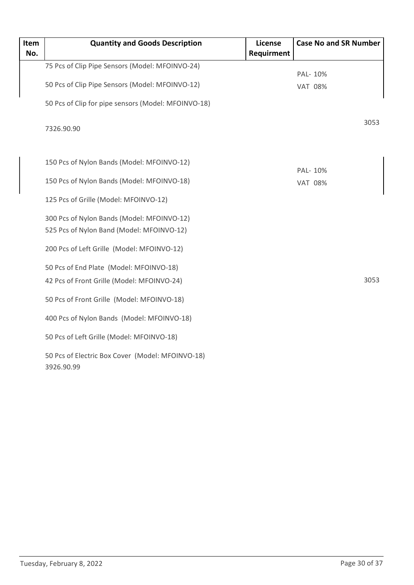| Item<br>No. | <b>Quantity and Goods Description</b>                                                   | License<br>Requirment | <b>Case No and SR Number</b> |
|-------------|-----------------------------------------------------------------------------------------|-----------------------|------------------------------|
|             | 75 Pcs of Clip Pipe Sensors (Model: MFOINVO-24)                                         |                       | PAL- 10%                     |
|             | 50 Pcs of Clip Pipe Sensors (Model: MFOINVO-12)                                         |                       | <b>VAT 08%</b>               |
|             | 50 Pcs of Clip for pipe sensors (Model: MFOINVO-18)                                     |                       |                              |
|             | 7326.90.90                                                                              |                       | 3053                         |
|             | 150 Pcs of Nylon Bands (Model: MFOINVO-12)                                              |                       | PAL- 10%                     |
|             | 150 Pcs of Nylon Bands (Model: MFOINVO-18)                                              |                       | <b>VAT 08%</b>               |
|             | 125 Pcs of Grille (Model: MFOINVO-12)                                                   |                       |                              |
|             | 300 Pcs of Nylon Bands (Model: MFOINVO-12)<br>525 Pcs of Nylon Band (Model: MFOINVO-12) |                       |                              |
|             | 200 Pcs of Left Grille (Model: MFOINVO-12)                                              |                       |                              |
|             | 50 Pcs of End Plate (Model: MFOINVO-18)<br>42 Pcs of Front Grille (Model: MFOINVO-24)   |                       | 3053                         |
|             | 50 Pcs of Front Grille (Model: MFOINVO-18)                                              |                       |                              |
|             | 400 Pcs of Nylon Bands (Model: MFOINVO-18)                                              |                       |                              |
|             | 50 Pcs of Left Grille (Model: MFOINVO-18)                                               |                       |                              |
|             | 50 Pcs of Electric Box Cover (Model: MFOINVO-18)<br>3926.90.99                          |                       |                              |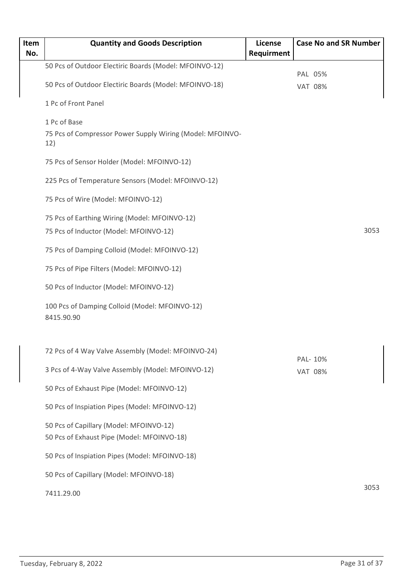| Item<br>No. | <b>Quantity and Goods Description</b>                            | License<br>Requirment | <b>Case No and SR Number</b> |  |
|-------------|------------------------------------------------------------------|-----------------------|------------------------------|--|
|             | 50 Pcs of Outdoor Electiric Boards (Model: MFOINVO-12)           |                       |                              |  |
|             | 50 Pcs of Outdoor Electiric Boards (Model: MFOINVO-18)           |                       | PAL 05%<br><b>VAT 08%</b>    |  |
|             | 1 Pc of Front Panel                                              |                       |                              |  |
|             | 1 Pc of Base                                                     |                       |                              |  |
|             | 75 Pcs of Compressor Power Supply Wiring (Model: MFOINVO-<br>12) |                       |                              |  |
|             | 75 Pcs of Sensor Holder (Model: MFOINVO-12)                      |                       |                              |  |
|             | 225 Pcs of Temperature Sensors (Model: MFOINVO-12)               |                       |                              |  |
|             | 75 Pcs of Wire (Model: MFOINVO-12)                               |                       |                              |  |
|             | 75 Pcs of Earthing Wiring (Model: MFOINVO-12)                    |                       |                              |  |
|             | 75 Pcs of Inductor (Model: MFOINVO-12)                           |                       | 3053                         |  |
|             | 75 Pcs of Damping Colloid (Model: MFOINVO-12)                    |                       |                              |  |
|             | 75 Pcs of Pipe Filters (Model: MFOINVO-12)                       |                       |                              |  |
|             | 50 Pcs of Inductor (Model: MFOINVO-12)                           |                       |                              |  |
|             | 100 Pcs of Damping Colloid (Model: MFOINVO-12)<br>8415.90.90     |                       |                              |  |
|             | 72 Pcs of 4 Way Valve Assembly (Model: MFOINVO-24)               |                       |                              |  |
|             | 3 Pcs of 4-Way Valve Assembly (Model: MFOINVO-12)                |                       | PAL- 10%<br><b>VAT 08%</b>   |  |
|             | 50 Pcs of Exhaust Pipe (Model: MFOINVO-12)                       |                       |                              |  |
|             | 50 Pcs of Inspiation Pipes (Model: MFOINVO-12)                   |                       |                              |  |
|             | 50 Pcs of Capillary (Model: MFOINVO-12)                          |                       |                              |  |
|             | 50 Pcs of Exhaust Pipe (Model: MFOINVO-18)                       |                       |                              |  |
|             | 50 Pcs of Inspiation Pipes (Model: MFOINVO-18)                   |                       |                              |  |
|             | 50 Pcs of Capillary (Model: MFOINVO-18)                          |                       |                              |  |
|             | 7411.29.00                                                       |                       | 3053                         |  |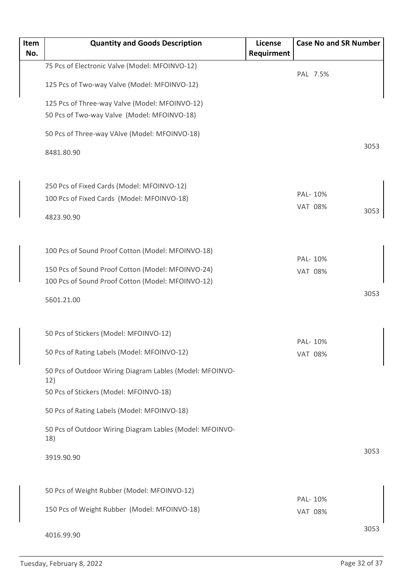| Item | <b>Quantity and Goods Description</b>                           | <b>License</b> |                           | <b>Case No and SR Number</b> |      |
|------|-----------------------------------------------------------------|----------------|---------------------------|------------------------------|------|
| No.  |                                                                 | Requirment     |                           |                              |      |
|      | 75 Pcs of Electronic Valve (Model: MFOINVO-12)                  |                | PAL 7.5%                  |                              |      |
|      | 125 Pcs of Two-way Valve (Model: MFOINVO-12)                    |                |                           |                              |      |
|      | 125 Pcs of Three-way Valve (Model: MFOINVO-12)                  |                |                           |                              |      |
|      | 50 Pcs of Two-way Valve (Model: MFOINVO-18)                     |                |                           |                              |      |
|      | 50 Pcs of Three-way VAlve (Model: MFOINVO-18)                   |                |                           |                              |      |
|      | 8481.80.90                                                      |                |                           |                              | 3053 |
|      | 250 Pcs of Fixed Cards (Model: MFOINVO-12)                      |                |                           |                              |      |
|      | 100 Pcs of Fixed Cards (Model: MFOINVO-18)                      |                | PAL- 10%                  |                              |      |
|      |                                                                 |                | <b>VAT 08%</b>            |                              | 3053 |
|      | 4823.90.90                                                      |                |                           |                              |      |
|      | 100 Pcs of Sound Proof Cotton (Model: MFOINVO-18)               |                |                           |                              |      |
|      | 150 Pcs of Sound Proof Cotton (Model: MFOINVO-24)               |                | PAL-10%                   |                              |      |
|      | 100 Pcs of Sound Proof Cotton (Model: MFOINVO-12)               |                | <b>VAT 08%</b>            |                              |      |
|      |                                                                 |                |                           |                              | 3053 |
|      | 5601.21.00                                                      |                |                           |                              |      |
|      | 50 Pcs of Stickers (Model: MFOINVO-12)                          |                |                           |                              |      |
|      | 50 Pcs of Rating Labels (Model: MFOINVO-12)                     |                | PAL-10%<br><b>VAT 08%</b> |                              |      |
|      | 50 Pcs of Outdoor Wiring Diagram Lables (Model: MFOINVO-<br>12) |                |                           |                              |      |
|      | 50 Pcs of Stickers (Model: MFOINVO-18)                          |                |                           |                              |      |
|      | 50 Pcs of Rating Labels (Model: MFOINVO-18)                     |                |                           |                              |      |
|      | 50 Pcs of Outdoor Wiring Diagram Lables (Model: MFOINVO-<br>18) |                |                           |                              |      |
|      | 3919.90.90                                                      |                |                           |                              | 3053 |
|      | 50 Pcs of Weight Rubber (Model: MFOINVO-12)                     |                |                           |                              |      |
|      | 150 Pcs of Weight Rubber (Model: MFOINVO-18)                    |                | PAL-10%<br><b>VAT 08%</b> |                              |      |
|      |                                                                 |                |                           |                              |      |
|      | 4016.99.90                                                      |                |                           |                              | 3053 |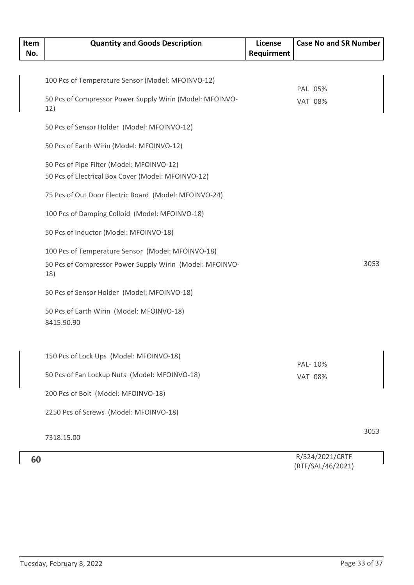| Item<br>No. | <b>Quantity and Goods Description</b>                           | <b>License</b><br>Requirment | <b>Case No and SR Number</b> |      |
|-------------|-----------------------------------------------------------------|------------------------------|------------------------------|------|
|             |                                                                 |                              |                              |      |
|             | 100 Pcs of Temperature Sensor (Model: MFOINVO-12)               |                              | PAL 05%                      |      |
|             | 50 Pcs of Compressor Power Supply Wirin (Model: MFOINVO-<br>12) |                              | <b>VAT 08%</b>               |      |
|             | 50 Pcs of Sensor Holder (Model: MFOINVO-12)                     |                              |                              |      |
|             | 50 Pcs of Earth Wirin (Model: MFOINVO-12)                       |                              |                              |      |
|             | 50 Pcs of Pipe Filter (Model: MFOINVO-12)                       |                              |                              |      |
|             | 50 Pcs of Electrical Box Cover (Model: MFOINVO-12)              |                              |                              |      |
|             | 75 Pcs of Out Door Electric Board (Model: MFOINVO-24)           |                              |                              |      |
|             | 100 Pcs of Damping Colloid (Model: MFOINVO-18)                  |                              |                              |      |
|             | 50 Pcs of Inductor (Model: MFOINVO-18)                          |                              |                              |      |
|             | 100 Pcs of Temperature Sensor (Model: MFOINVO-18)               |                              |                              |      |
|             | 50 Pcs of Compressor Power Supply Wirin (Model: MFOINVO-<br>18) |                              |                              | 3053 |
|             | 50 Pcs of Sensor Holder (Model: MFOINVO-18)                     |                              |                              |      |
|             | 50 Pcs of Earth Wirin (Model: MFOINVO-18)<br>8415.90.90         |                              |                              |      |
|             | 150 Pcs of Lock Ups (Model: MFOINVO-18)                         |                              |                              |      |
|             | 50 Pcs of Fan Lockup Nuts (Model: MFOINVO-18)                   |                              | PAL- 10%<br><b>VAT 08%</b>   |      |
|             | 200 Pcs of Bolt (Model: MFOINVO-18)                             |                              |                              |      |
|             | 2250 Pcs of Screws (Model: MFOINVO-18)                          |                              |                              |      |
|             | 7318.15.00                                                      |                              |                              | 3053 |
| 60          |                                                                 |                              | R/524/2021/CRTF              |      |

(RTF/SAL/46/2021)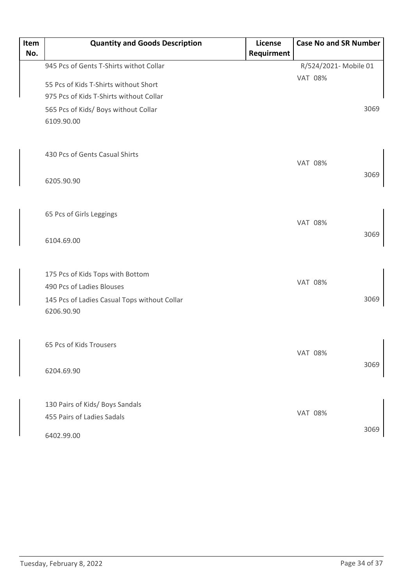| Item<br>No. | <b>Quantity and Goods Description</b>        | License<br>Requirment | <b>Case No and SR Number</b> |  |
|-------------|----------------------------------------------|-----------------------|------------------------------|--|
|             | 945 Pcs of Gents T-Shirts withot Collar      |                       | R/524/2021- Mobile 01        |  |
|             |                                              |                       | <b>VAT 08%</b>               |  |
|             | 55 Pcs of Kids T-Shirts without Short        |                       |                              |  |
|             | 975 Pcs of Kids T-Shirts without Collar      |                       |                              |  |
|             | 565 Pcs of Kids/ Boys without Collar         |                       | 3069                         |  |
|             | 6109.90.00                                   |                       |                              |  |
|             |                                              |                       |                              |  |
|             | 430 Pcs of Gents Casual Shirts               |                       |                              |  |
|             |                                              |                       | <b>VAT 08%</b>               |  |
|             | 6205.90.90                                   |                       | 3069                         |  |
|             |                                              |                       |                              |  |
|             |                                              |                       |                              |  |
|             | 65 Pcs of Girls Leggings                     |                       |                              |  |
|             |                                              |                       | <b>VAT 08%</b>               |  |
|             | 6104.69.00                                   |                       | 3069                         |  |
|             |                                              |                       |                              |  |
|             | 175 Pcs of Kids Tops with Bottom             |                       |                              |  |
|             | 490 Pcs of Ladies Blouses                    |                       | <b>VAT 08%</b>               |  |
|             | 145 Pcs of Ladies Casual Tops without Collar |                       | 3069                         |  |
|             | 6206.90.90                                   |                       |                              |  |
|             |                                              |                       |                              |  |
|             |                                              |                       |                              |  |
|             | 65 Pcs of Kids Trousers                      |                       | <b>VAT 08%</b>               |  |
|             |                                              |                       | 3069                         |  |
|             | 6204.69.90                                   |                       |                              |  |
|             |                                              |                       |                              |  |
|             | 130 Pairs of Kids/ Boys Sandals              |                       |                              |  |
|             | 455 Pairs of Ladies Sadals                   |                       | <b>VAT 08%</b>               |  |
|             |                                              |                       | 3069                         |  |
|             | 6402.99.00                                   |                       |                              |  |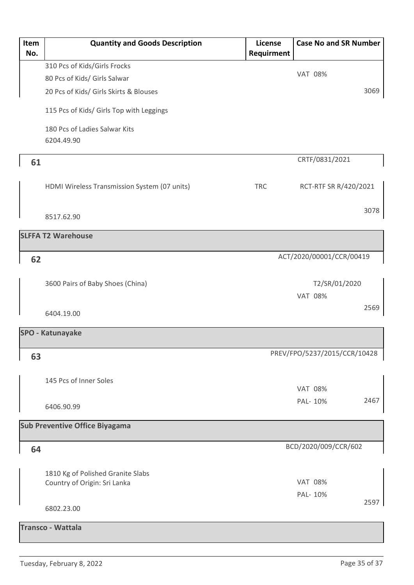| Item<br>No. | <b>Quantity and Goods Description</b>                                           | License<br>Requirment | <b>Case No and SR Number</b>    |      |
|-------------|---------------------------------------------------------------------------------|-----------------------|---------------------------------|------|
|             | 310 Pcs of Kids/Girls Frocks                                                    |                       |                                 |      |
|             | 80 Pcs of Kids/ Girls Salwar                                                    |                       | <b>VAT 08%</b>                  |      |
|             | 20 Pcs of Kids/ Girls Skirts & Blouses                                          |                       |                                 | 3069 |
|             | 115 Pcs of Kids/ Girls Top with Leggings                                        |                       |                                 |      |
|             | 180 Pcs of Ladies Salwar Kits<br>6204.49.90                                     |                       |                                 |      |
| 61          |                                                                                 |                       | CRTF/0831/2021                  |      |
|             | HDMI Wireless Transmission System (07 units)                                    | <b>TRC</b>            | RCT-RTF SR R/420/2021           |      |
|             | 8517.62.90                                                                      |                       |                                 | 3078 |
|             | <b>SLFFA T2 Warehouse</b>                                                       |                       |                                 |      |
| 62          |                                                                                 |                       | ACT/2020/00001/CCR/00419        |      |
|             | 3600 Pairs of Baby Shoes (China)                                                |                       | T2/SR/01/2020<br><b>VAT 08%</b> |      |
|             | 6404.19.00                                                                      |                       |                                 | 2569 |
|             | <b>SPO - Katunayake</b>                                                         |                       |                                 |      |
| 63          |                                                                                 |                       | PREV/FPO/5237/2015/CCR/10428    |      |
|             | 145 Pcs of Inner Soles                                                          |                       | <b>VAT 08%</b>                  |      |
|             | 6406.90.99                                                                      |                       | PAL-10%                         | 2467 |
|             | <b>Sub Preventive Office Biyagama</b>                                           |                       |                                 |      |
| 64          |                                                                                 |                       | BCD/2020/009/CCR/602            |      |
|             | 1810 Kg of Polished Granite Slabs<br>Country of Origin: Sri Lanka<br>6802.23.00 |                       | <b>VAT 08%</b><br>PAL-10%       | 2597 |
|             | <b>Transco - Wattala</b>                                                        |                       |                                 |      |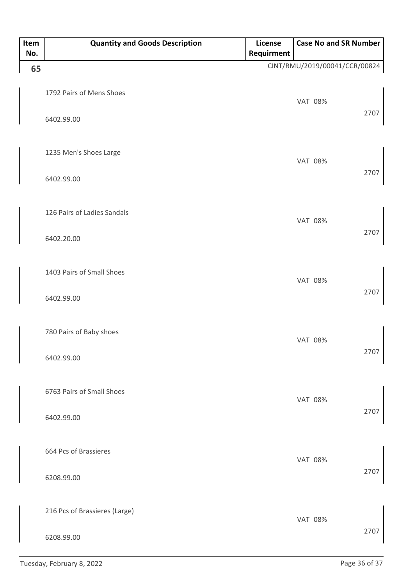| Item<br>No. | <b>Quantity and Goods Description</b>       | License<br>Requirment | <b>Case No and SR Number</b>  |      |
|-------------|---------------------------------------------|-----------------------|-------------------------------|------|
| 65          |                                             |                       | CINT/RMU/2019/00041/CCR/00824 |      |
|             | 1792 Pairs of Mens Shoes<br>6402.99.00      |                       | <b>VAT 08%</b>                | 2707 |
|             | 1235 Men's Shoes Large<br>6402.99.00        |                       | <b>VAT 08%</b>                | 2707 |
|             | 126 Pairs of Ladies Sandals<br>6402.20.00   |                       | <b>VAT 08%</b>                | 2707 |
|             | 1403 Pairs of Small Shoes<br>6402.99.00     |                       | <b>VAT 08%</b>                | 2707 |
|             | 780 Pairs of Baby shoes<br>6402.99.00       |                       | <b>VAT 08%</b>                | 2707 |
|             | 6763 Pairs of Small Shoes<br>6402.99.00     |                       | <b>VAT 08%</b>                | 2707 |
|             | 664 Pcs of Brassieres<br>6208.99.00         |                       | <b>VAT 08%</b>                | 2707 |
|             | 216 Pcs of Brassieres (Large)<br>6208.99.00 |                       | <b>VAT 08%</b>                | 2707 |